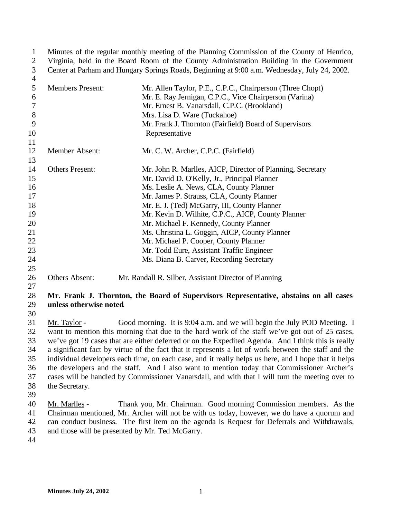Minutes of the regular monthly meeting of the Planning Commission of the County of Henrico, Virginia, held in the Board Room of the County Administration Building in the Government Center at Parham and Hungary Springs Roads, Beginning at 9:00 a.m. Wednesday, July 24, 2002. 

| ┭  |                         |                                                            |
|----|-------------------------|------------------------------------------------------------|
| 5  | <b>Members Present:</b> | Mr. Allen Taylor, P.E., C.P.C., Chairperson (Three Chopt)  |
| 6  |                         | Mr. E. Ray Jernigan, C.P.C., Vice Chairperson (Varina)     |
| 7  |                         | Mr. Ernest B. Vanarsdall, C.P.C. (Brookland)               |
| 8  |                         | Mrs. Lisa D. Ware (Tuckahoe)                               |
| 9  |                         | Mr. Frank J. Thornton (Fairfield) Board of Supervisors     |
| 10 |                         | Representative                                             |
| 11 |                         |                                                            |
| 12 | Member Absent:          | Mr. C. W. Archer, C.P.C. (Fairfield)                       |
| 13 |                         |                                                            |
| 14 | <b>Others Present:</b>  | Mr. John R. Marlles, AICP, Director of Planning, Secretary |
| 15 |                         | Mr. David D. O'Kelly, Jr., Principal Planner               |
| 16 |                         | Ms. Leslie A. News, CLA, County Planner                    |
| 17 |                         | Mr. James P. Strauss, CLA, County Planner                  |
| 18 |                         | Mr. E. J. (Ted) McGarry, III, County Planner               |
| 19 |                         | Mr. Kevin D. Wilhite, C.P.C., AICP, County Planner         |
| 20 |                         | Mr. Michael F. Kennedy, County Planner                     |
| 21 |                         | Ms. Christina L. Goggin, AICP, County Planner              |
| 22 |                         | Mr. Michael P. Cooper, County Planner                      |
| 23 |                         | Mr. Todd Eure, Assistant Traffic Engineer                  |
| 24 |                         | Ms. Diana B. Carver, Recording Secretary                   |
| 25 |                         |                                                            |
| 26 | <b>Others Absent:</b>   | Mr. Randall R. Silber, Assistant Director of Planning      |
| 27 |                         |                                                            |

## **Mr. Frank J. Thornton, the Board of Supervisors Representative, abstains on all cases unless otherwise noted**.

 Mr. Taylor - Good morning. It is 9:04 a.m. and we will begin the July POD Meeting. I want to mention this morning that due to the hard work of the staff we've got out of 25 cases, we've got 19 cases that are either deferred or on the Expedited Agenda. And I think this is really a significant fact by virtue of the fact that it represents a lot of work between the staff and the individual developers each time, on each case, and it really helps us here, and I hope that it helps the developers and the staff. And I also want to mention today that Commissioner Archer's cases will be handled by Commissioner Vanarsdall, and with that I will turn the meeting over to the Secretary.

 Mr. Marlles - Thank you, Mr. Chairman. Good morning Commission members. As the Chairman mentioned, Mr. Archer will not be with us today, however, we do have a quorum and can conduct business. The first item on the agenda is Request for Deferrals and Withdrawals, and those will be presented by Mr. Ted McGarry.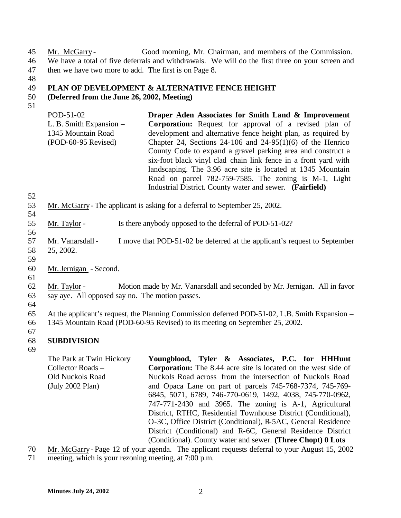45 Mr. McGarry - Good morning, Mr. Chairman, and members of the Commission. 46 We have a total of five deferrals and withdrawals. We will do the first three on your screen and 47 then we have two more to add. The first is on Page 8.

48

## 49 **PLAN OF DEVELOPMENT & ALTERNATIVE FENCE HEIGHT**

#### 50 **(Deferred from the June 26, 2002, Meeting)**

- 51
- POD-51-02 L. B. Smith Expansion – 1345 Mountain Road (POD-60-95 Revised) **Draper Aden Associates for Smith Land & Improvement Corporation:** Request for approval of a revised plan of development and alternative fence height plan, as required by Chapter 24, Sections 24-106 and  $24-95(1)(6)$  of the Henrico County Code to expand a gravel parking area and construct a six-foot black vinyl clad chain link fence in a front yard with landscaping. The 3.96 acre site is located at 1345 Mountain Road on parcel 782-759-7585. The zoning is M-1, Light Industrial District. County water and sewer. **(Fairfield)**
- 52

54

56

- 53 Mr. McGarry- The applicant is asking for a deferral to September 25, 2002.
- 55 Mr. Taylor Is there anybody opposed to the deferral of POD-51-02?
- 57 Mr. Vanarsdall I move that POD-51-02 be deferred at the applicant's request to September 58 25, 2002.
- 59

61

- 60 Mr. Jernigan Second.
- 62 Mr. Taylor Motion made by Mr. Vanarsdall and seconded by Mr. Jernigan. All in favor 63 say aye. All opposed say no. The motion passes.
- 64

65 At the applicant's request, the Planning Commission deferred POD-51-02, L.B. Smith Expansion – 66 1345 Mountain Road (POD-60-95 Revised) to its meeting on September 25, 2002.

67

## 68 **SUBDIVISION**

69

The Park at Twin Hickory Collector Roads – Old Nuckols Road (July 2002 Plan) **Youngblood, Tyler & Associates, P.C. for HHHunt Corporation:** The 8.44 acre site is located on the west side of Nuckols Road across from the intersection of Nuckols Road and Opaca Lane on part of parcels 745-768-7374, 745-769- 6845, 5071, 6789, 746-770-0619, 1492, 4038, 745-770-0962, 747-771-2430 and 3965. The zoning is A-1, Agricultural District, RTHC, Residential Townhouse District (Conditional), O-3C, Office District (Conditional), R-5AC, General Residence District (Conditional) and R-6C, General Residence District (Conditional). County water and sewer. **(Three Chopt) 0 Lots**

- 70 Mr. McGarry- Page 12 of your agenda. The applicant requests deferral to your August 15, 2002
- 71 meeting, which is your rezoning meeting, at 7:00 p.m.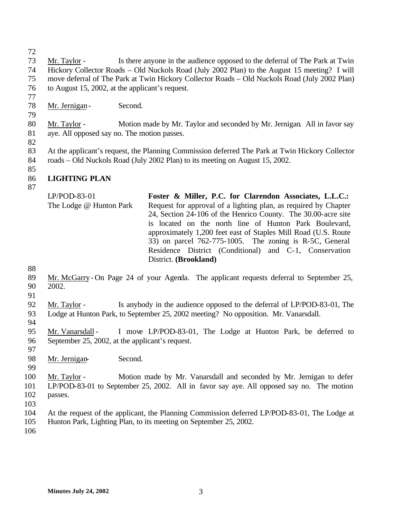Mr. Taylor - Is there anyone in the audience opposed to the deferral of The Park at Twin Hickory Collector Roads – Old Nuckols Road (July 2002 Plan) to the August 15 meeting? I will move deferral of The Park at Twin Hickory Collector Roads – Old Nuckols Road (July 2002 Plan) to August 15, 2002, at the applicant's request.

- Mr. Jernigan- Second.
- 

- Mr. Taylor Motion made by Mr. Taylor and seconded by Mr. Jernigan. All in favor say aye. All opposed say no. The motion passes.
- 

 At the applicant's request, the Planning Commission deferred The Park at Twin Hickory Collector roads – Old Nuckols Road (July 2002 Plan) to its meeting on August 15, 2002.

## **LIGHTING PLAN**

LP/POD-83-01 The Lodge @ Hunton Park **Foster & Miller, P.C. for Clarendon Associates, L.L.C.:**  Request for approval of a lighting plan, as required by Chapter 24, Section 24-106 of the Henrico County. The 30.00-acre site is located on the north line of Hunton Park Boulevard, approximately 1,200 feet east of Staples Mill Road (U.S. Route 33) on parcel 762-775-1005. The zoning is R-5C, General Residence District (Conditional) and C-1, Conservation District. **(Brookland)**

 Mr. McGarry- On Page 24 of your Agenda. The applicant requests deferral to September 25, 2002.

 Mr. Taylor - Is anybody in the audience opposed to the deferral of LP/POD-83-01, The Lodge at Hunton Park, to September 25, 2002 meeting? No opposition. Mr. Vanarsdall. 

 Mr. Vanarsdall - I move LP/POD-83-01, The Lodge at Hunton Park, be deferred to September 25, 2002, at the applicant's request.

Mr. Jernigan- Second.

 Mr. Taylor - Motion made by Mr. Vanarsdall and seconded by Mr. Jernigan to defer LP/POD-83-01 to September 25, 2002. All in favor say aye. All opposed say no. The motion passes.

 At the request of the applicant, the Planning Commission deferred LP/POD-83-01, The Lodge at Hunton Park, Lighting Plan, to its meeting on September 25, 2002.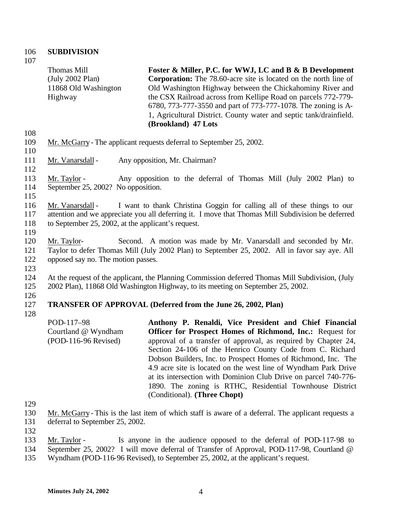## 106 **SUBDIVISION**

107

Thomas Mill (July 2002 Plan) 11868 Old Washington Highway **Foster & Miller, P.C. for WWJ, LC and B & B Development Corporation:** The 78.60-acre site is located on the north line of Old Washington Highway between the Chickahominy River and the CSX Railroad across from Kellipe Road on parcels 772-779- 6780, 773-777-3550 and part of 773-777-1078. The zoning is A-1, Agricultural District. County water and septic tank/drainfield.

**(Brookland) 47 Lots**

- 109 Mr. McGarry- The applicant requests deferral to September 25, 2002. 110
- 111 Mr. Vanarsdall Any opposition, Mr. Chairman?

113 Mr. Taylor - Any opposition to the deferral of Thomas Mill (July 2002 Plan) to 114 September 25, 2002? No opposition.

115

112

108

116 Mr. Vanarsdall - I want to thank Christina Goggin for calling all of these things to our 117 attention and we appreciate you all deferring it. I move that Thomas Mill Subdivision be deferred 118 to September 25, 2002, at the applicant's request.

119

120 Mr. Taylor- Second. A motion was made by Mr. Vanarsdall and seconded by Mr. 121 Taylor to defer Thomas Mill (July 2002 Plan) to September 25, 2002. All in favor say aye. All 122 opposed say no. The motion passes.

- 124 At the request of the applicant, the Planning Commission deferred Thomas Mill Subdivision, (July 125 2002 Plan), 11868 Old Washington Highway, to its meeting on September 25, 2002.
- 126

123

## 127 **TRANSFER OF APPROVAL (Deferred from the June 26, 2002, Plan)**

128

| POD-117-98           | Anthony P. Renaldi, Vice President and Chief Financial           |
|----------------------|------------------------------------------------------------------|
| Courtland @ Wyndham  | <b>Officer for Prospect Homes of Richmond, Inc.:</b> Request for |
| (POD-116-96 Revised) | approval of a transfer of approval, as required by Chapter 24,   |
|                      | Section 24-106 of the Henrico County Code from C. Richard        |
|                      | Dobson Builders, Inc. to Prospect Homes of Richmond, Inc. The    |
|                      | 4.9 acre site is located on the west line of Wyndham Park Drive  |
|                      | at its intersection with Dominion Club Drive on parcel 740-776-  |
|                      | 1890. The zoning is RTHC, Residential Townhouse District         |
|                      | (Conditional). (Three Chopt)                                     |

129

130 Mr. McGarry- This is the last item of which staff is aware of a deferral. The applicant requests a

131 deferral to September 25, 2002.

- 133 Mr. Taylor Is anyone in the audience opposed to the deferral of POD-117-98 to
- 134 September 25, 2002? I will move deferral of Transfer of Approval, POD-117-98, Courtland @
- 135 Wyndham (POD-116-96 Revised), to September 25, 2002, at the applicant's request.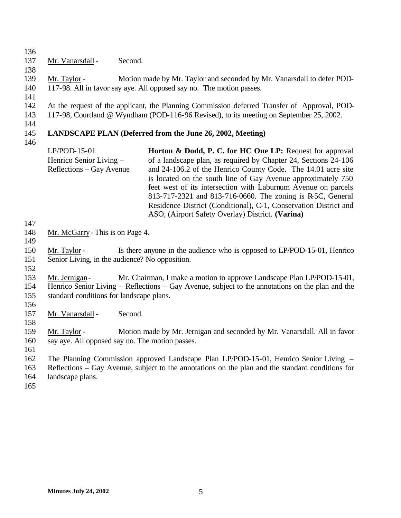| 136               |                                                                |         |                                                                                                                                                                                                                                                                                                                                                                                                                                                        |
|-------------------|----------------------------------------------------------------|---------|--------------------------------------------------------------------------------------------------------------------------------------------------------------------------------------------------------------------------------------------------------------------------------------------------------------------------------------------------------------------------------------------------------------------------------------------------------|
| 137               | Mr. Vanarsdall -                                               | Second. |                                                                                                                                                                                                                                                                                                                                                                                                                                                        |
| 138               |                                                                |         |                                                                                                                                                                                                                                                                                                                                                                                                                                                        |
| 139<br>140        | Mr. Taylor -                                                   |         | Motion made by Mr. Taylor and seconded by Mr. Vanarsdall to defer POD-<br>117-98. All in favor say aye. All opposed say no. The motion passes.                                                                                                                                                                                                                                                                                                         |
| 141<br>142<br>143 |                                                                |         | At the request of the applicant, the Planning Commission deferred Transfer of Approval, POD-<br>117-98, Courtland @ Wyndham (POD-116-96 Revised), to its meeting on September 25, 2002.                                                                                                                                                                                                                                                                |
| 144<br>145<br>146 |                                                                |         | LANDSCAPE PLAN (Deferred from the June 26, 2002, Meeting)                                                                                                                                                                                                                                                                                                                                                                                              |
|                   | LP/POD-15-01                                                   |         | Horton & Dodd, P. C. for HC One LP: Request for approval                                                                                                                                                                                                                                                                                                                                                                                               |
|                   | Henrico Senior Living -<br>Reflections – Gay Avenue            |         | of a landscape plan, as required by Chapter 24, Sections 24-106<br>and 24-106.2 of the Henrico County Code. The 14.01 acre site<br>is located on the south line of Gay Avenue approximately 750<br>feet west of its intersection with Laburnum Avenue on parcels<br>813-717-2321 and 813-716-0660. The zoning is R-5C, General<br>Residence District (Conditional), C-1, Conservation District and<br>ASO, (Airport Safety Overlay) District. (Varina) |
| 147               |                                                                |         |                                                                                                                                                                                                                                                                                                                                                                                                                                                        |
| 148               | Mr. McGarry - This is on Page 4.                               |         |                                                                                                                                                                                                                                                                                                                                                                                                                                                        |
| 149               |                                                                |         |                                                                                                                                                                                                                                                                                                                                                                                                                                                        |
| 150<br>151        | Mr. Taylor -<br>Senior Living, in the audience? No opposition. |         | Is there anyone in the audience who is opposed to LP/POD-15-01, Henrico                                                                                                                                                                                                                                                                                                                                                                                |
| 152               |                                                                |         |                                                                                                                                                                                                                                                                                                                                                                                                                                                        |
| 153               | Mr. Jernigan-                                                  |         | Mr. Chairman, I make a motion to approve Landscape Plan LP/POD-15-01,                                                                                                                                                                                                                                                                                                                                                                                  |
| 154<br>155        |                                                                |         | Henrico Senior Living – Reflections – Gay Avenue, subject to the annotations on the plan and the                                                                                                                                                                                                                                                                                                                                                       |
| 156               | standard conditions for landscape plans.                       |         |                                                                                                                                                                                                                                                                                                                                                                                                                                                        |
| 157               | Mr. Vanarsdall -                                               | Second. |                                                                                                                                                                                                                                                                                                                                                                                                                                                        |
| 158               |                                                                |         |                                                                                                                                                                                                                                                                                                                                                                                                                                                        |
| 159               | Mr. Taylor -                                                   |         | Motion made by Mr. Jernigan and seconded by Mr. Vanarsdall. All in favor                                                                                                                                                                                                                                                                                                                                                                               |
| 160               | say aye. All opposed say no. The motion passes.                |         |                                                                                                                                                                                                                                                                                                                                                                                                                                                        |
| 161               |                                                                |         |                                                                                                                                                                                                                                                                                                                                                                                                                                                        |
| 162               |                                                                |         | The Planning Commission approved Landscape Plan LP/POD-15-01, Henrico Senior Living –                                                                                                                                                                                                                                                                                                                                                                  |
| 163               |                                                                |         | Reflections – Gay Avenue, subject to the annotations on the plan and the standard conditions for                                                                                                                                                                                                                                                                                                                                                       |
| 164               | landscape plans.                                               |         |                                                                                                                                                                                                                                                                                                                                                                                                                                                        |
| 165               |                                                                |         |                                                                                                                                                                                                                                                                                                                                                                                                                                                        |
|                   |                                                                |         |                                                                                                                                                                                                                                                                                                                                                                                                                                                        |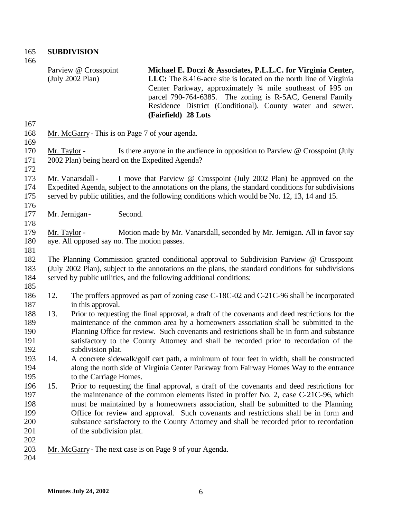**SUBDIVISION**

Parview @ Crosspoint

| 167                                           |                                                                                                                                                                                                                                                                         | (July 2002 Plan)<br><b>LLC:</b> The 8.416-acre site is located on the north line of Virginia<br>Center Parkway, approximately 3/4 mile southeast of 195 on<br>parcel 790-764-6385. The zoning is R-5AC, General Family<br>Residence District (Conditional). County water and sewer.<br>(Fairfield) 28 Lots                                                                                                                                                                               |  |  |
|-----------------------------------------------|-------------------------------------------------------------------------------------------------------------------------------------------------------------------------------------------------------------------------------------------------------------------------|------------------------------------------------------------------------------------------------------------------------------------------------------------------------------------------------------------------------------------------------------------------------------------------------------------------------------------------------------------------------------------------------------------------------------------------------------------------------------------------|--|--|
| 168<br>169                                    |                                                                                                                                                                                                                                                                         | Mr. McGarry - This is on Page 7 of your agenda.                                                                                                                                                                                                                                                                                                                                                                                                                                          |  |  |
| 170<br>171<br>172                             | Mr. Taylor -                                                                                                                                                                                                                                                            | Is there anyone in the audience in opposition to Parview $\omega$ Crosspoint (July<br>2002 Plan) being heard on the Expedited Agenda?                                                                                                                                                                                                                                                                                                                                                    |  |  |
| 173<br>174<br>175<br>176                      |                                                                                                                                                                                                                                                                         | I move that Parview @ Crosspoint (July 2002 Plan) be approved on the<br>Mr. Vanarsdall -<br>Expedited Agenda, subject to the annotations on the plans, the standard conditions for subdivisions<br>served by public utilities, and the following conditions which would be No. 12, 13, 14 and 15.                                                                                                                                                                                        |  |  |
| 177<br>178                                    |                                                                                                                                                                                                                                                                         | Mr. Jernigan-<br>Second.                                                                                                                                                                                                                                                                                                                                                                                                                                                                 |  |  |
| 179<br>180<br>181                             | Mr. Taylor -                                                                                                                                                                                                                                                            | Motion made by Mr. Vanarsdall, seconded by Mr. Jernigan. All in favor say<br>aye. All opposed say no. The motion passes.                                                                                                                                                                                                                                                                                                                                                                 |  |  |
| 182<br>183<br>184                             | The Planning Commission granted conditional approval to Subdivision Parview @ Crosspoint<br>(July 2002 Plan), subject to the annotations on the plans, the standard conditions for subdivisions<br>served by public utilities, and the following additional conditions: |                                                                                                                                                                                                                                                                                                                                                                                                                                                                                          |  |  |
| 185<br>186<br>187                             | 12.                                                                                                                                                                                                                                                                     | The proffers approved as part of zoning case C-18C-02 and C-21C-96 shall be incorporated<br>in this approval.                                                                                                                                                                                                                                                                                                                                                                            |  |  |
| 188<br>189<br>190<br>191<br>192               | 13.                                                                                                                                                                                                                                                                     | Prior to requesting the final approval, a draft of the covenants and deed restrictions for the<br>maintenance of the common area by a homeowners association shall be submitted to the<br>Planning Office for review. Such covenants and restrictions shall be in form and substance<br>satisfactory to the County Attorney and shall be recorded prior to recordation of the<br>subdivision plat.                                                                                       |  |  |
| 193<br>194<br>195                             | 14.                                                                                                                                                                                                                                                                     | A concrete sidewalk/golf cart path, a minimum of four feet in width, shall be constructed<br>along the north side of Virginia Center Parkway from Fairway Homes Way to the entrance<br>to the Carriage Homes.                                                                                                                                                                                                                                                                            |  |  |
| 196<br>197<br>198<br>199<br>200<br>201<br>202 | 15.                                                                                                                                                                                                                                                                     | Prior to requesting the final approval, a draft of the covenants and deed restrictions for<br>the maintenance of the common elements listed in proffer No. 2, case C-21C-96, which<br>must be maintained by a homeowners association, shall be submitted to the Planning<br>Office for review and approval. Such covenants and restrictions shall be in form and<br>substance satisfactory to the County Attorney and shall be recorded prior to recordation<br>of the subdivision plat. |  |  |
| 203<br>204                                    |                                                                                                                                                                                                                                                                         | Mr. McGarry - The next case is on Page 9 of your Agenda.                                                                                                                                                                                                                                                                                                                                                                                                                                 |  |  |

**Michael E. Doczi & Associates, P.L.L.C. for Virginia Center,**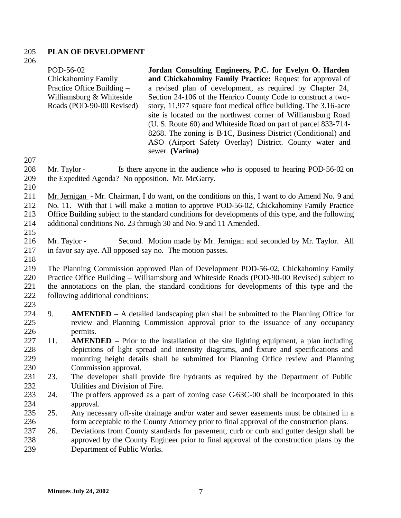#### **PLAN OF DEVELOPMENT**

POD-56-02 Chickahominy Family Practice Office Building – Williamsburg & Whiteside Roads (POD-90-00 Revised) **Jordan Consulting Engineers, P.C. for Evelyn O. Harden and Chickahominy Family Practice:** Request for approval of a revised plan of development, as required by Chapter 24, Section 24-106 of the Henrico County Code to construct a twostory, 11,977 square foot medical office building. The 3.16-acre site is located on the northwest corner of Williamsburg Road (U. S. Route 60) and Whiteside Road on part of parcel 833-714- 8268. The zoning is B-1C, Business District (Conditional) and ASO (Airport Safety Overlay) District. County water and sewer. **(Varina)**

 Mr. Taylor - Is there anyone in the audience who is opposed to hearing POD-56-02 on the Expedited Agenda? No opposition. Mr. McGarry.

- Mr. Jernigan - Mr. Chairman, I do want, on the conditions on this, I want to do Amend No. 9 and
- No. 11. With that I will make a motion to approve POD-56-02, Chickahominy Family Practice Office Building subject to the standard conditions for developments of this type, and the following
- additional conditions No. 23 through 30 and No. 9 and 11 Amended.
- 

 Mr. Taylor - Second. Motion made by Mr. Jernigan and seconded by Mr. Taylor. All in favor say aye. All opposed say no. The motion passes.

 The Planning Commission approved Plan of Development POD-56-02, Chickahominy Family Practice Office Building – Williamsburg and Whiteside Roads (POD-90-00 Revised) subject to the annotations on the plan, the standard conditions for developments of this type and the 222 following additional conditions: 

- 9. **AMENDED** A detailed landscaping plan shall be submitted to the Planning Office for review and Planning Commission approval prior to the issuance of any occupancy permits.
- 11. **AMENDED** Prior to the installation of the site lighting equipment, a plan including depictions of light spread and intensity diagrams, and fixture and specifications and mounting height details shall be submitted for Planning Office review and Planning Commission approval.
- 23. The developer shall provide fire hydrants as required by the Department of Public Utilities and Division of Fire.
- 24. The proffers approved as a part of zoning case C-63C-00 shall be incorporated in this approval.
- 25. Any necessary off-site drainage and/or water and sewer easements must be obtained in a form acceptable to the County Attorney prior to final approval of the construction plans.
- 26. Deviations from County standards for pavement, curb or curb and gutter design shall be approved by the County Engineer prior to final approval of the construction plans by the Department of Public Works.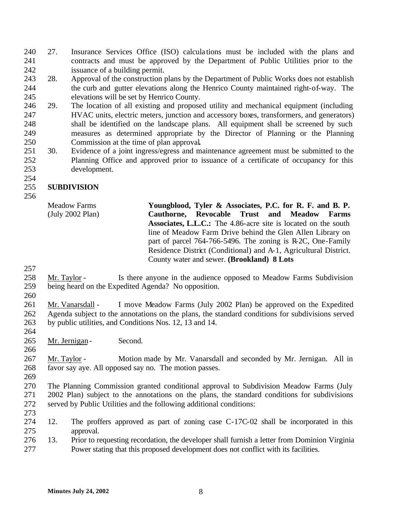- 27. Insurance Services Office (ISO) calcula tions must be included with the plans and contracts and must be approved by the Department of Public Utilities prior to the issuance of a building permit.
- 28. Approval of the construction plans by the Department of Public Works does not establish the curb and gutter elevations along the Henrico County maintained right-of-way. The elevations will be set by Henrico County.
- 29. The location of all existing and proposed utility and mechanical equipment (including HVAC units, electric meters, junction and accessory boxes, transformers, and generators) shall be identified on the landscape plans. All equipment shall be screened by such measures as determined appropriate by the Director of Planning or the Planning Commission at the time of plan approval**.**
- 30. Evidence of a joint ingress/egress and maintenance agreement must be submitted to the Planning Office and approved prior to issuance of a certificate of occupancy for this development.

## **SUBDIVISION**

Meadow Farms (July 2002 Plan) **Youngblood, Tyler & Associates, P.C. for R. F. and B. P. Cauthorne, Revocable Trust and Meadow Farms Associates, L.L.C.:** The 4.86-acre site is located on the south line of Meadow Farm Drive behind the Glen Allen Library on part of parcel 764-766-5496. The zoning is R-2C, One-Family Residence District (Conditional) and A-1, Agricultural District. County water and sewer. **(Brookland) 8 Lots**

- 
- Mr. Taylor Is there anyone in the audience opposed to Meadow Farms Subdivision being heard on the Expedited Agenda? No opposition.
- 

 Mr. Vanarsdall - I move Meadow Farms (July 2002 Plan) be approved on the Expedited Agenda subject to the annotations on the plans, the standard conditions for subdivisions served by public utilities, and Conditions Nos. 12, 13 and 14.

265 Mr. Jernigan - Second.

 Mr. Taylor - Motion made by Mr. Vanarsdall and seconded by Mr. Jernigan. All in favor say aye. All opposed say no. The motion passes.

 The Planning Commission granted conditional approval to Subdivision Meadow Farms (July 2002 Plan) subject to the annotations on the plans, the standard conditions for subdivisions served by Public Utilities and the following additional conditions:

- 
- 12. The proffers approved as part of zoning case C-17C-02 shall be incorporated in this approval.
- 13. Prior to requesting recordation, the developer shall furnish a letter from Dominion Virginia Power stating that this proposed development does not conflict with its facilities.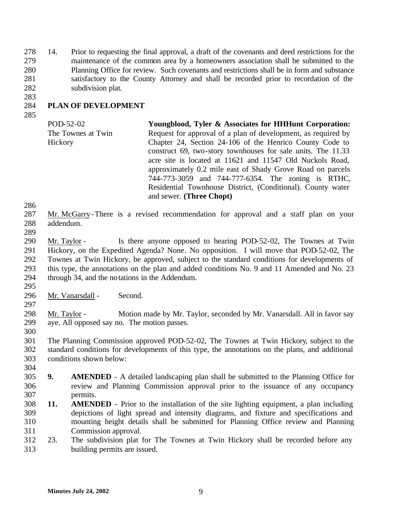14. Prior to requesting the final approval, a draft of the covenants and deed restrictions for the maintenance of the common area by a homeowners association shall be submitted to the Planning Office for review. Such covenants and restrictions shall be in form and substance satisfactory to the County Attorney and shall be recorded prior to recordation of the subdivision plat. 

#### **PLAN OF DEVELOPMENT**

POD-52-02 The Townes at Twin Hickory **Youngblood, Tyler & Associates for HHHunt Corporation:**  Request for approval of a plan of development, as required by Chapter 24, Section 24-106 of the Henrico County Code to construct 69, two-story townhouses for sale units. The 11.33 acre site is located at 11621 and 11547 Old Nuckols Road, approximately 0.2 mile east of Shady Grove Road on parcels 744-773-3059 and 744-777-6354. The zoning is RTHC, Residential Townhouse District, (Conditional). County water and sewer. **(Three Chopt)**

- Mr. McGarry -There is a revised recommendation for approval and a staff plan on your addendum.
- 

 Mr. Taylor - Is there anyone opposed to hearing POD-52-02, The Townes at Twin Hickory, on the Expedited Agenda? None. No opposition. I will move that POD-52-02, The Townes at Twin Hickory, be approved, subject to the standard conditions for developments of this type, the annotations on the plan and added conditions No. 9 and 11 Amended and No. 23 through 34, and the notations in the Addendum.

 Mr. Vanarsdall - Second. 

 Mr. Taylor - Motion made by Mr. Taylor, seconded by Mr. Vanarsdall. All in favor say aye. All opposed say no. The motion passes.

 The Planning Commission approved POD-52-02, The Townes at Twin Hickory, subject to the standard conditions for developments of this type, the annotations on the plans, and additional conditions shown below:

- **9. AMENDED** A detailed landscaping plan shall be submitted to the Planning Office for review and Planning Commission approval prior to the issuance of any occupancy permits.
- **11. AMENDED** Prior to the installation of the site lighting equipment, a plan including depictions of light spread and intensity diagrams, and fixture and specifications and mounting height details shall be submitted for Planning Office review and Planning Commission approval.
- 23. The subdivision plat for The Townes at Twin Hickory shall be recorded before any building permits are issued.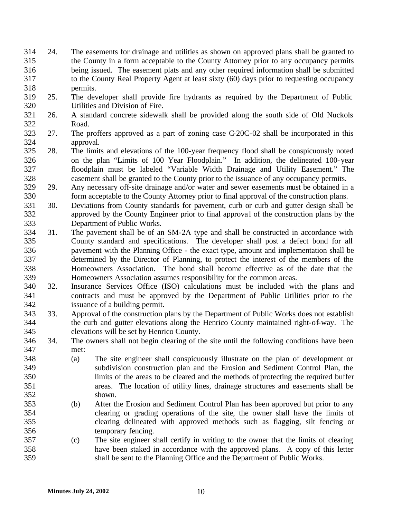- 24. The easements for drainage and utilities as shown on approved plans shall be granted to the County in a form acceptable to the County Attorney prior to any occupancy permits being issued. The easement plats and any other required information shall be submitted to the County Real Property Agent at least sixty (60) days prior to requesting occupancy permits.
- 25. The developer shall provide fire hydrants as required by the Department of Public Utilities and Division of Fire.
- 26. A standard concrete sidewalk shall be provided along the south side of Old Nuckols Road.
- 27. The proffers approved as a part of zoning case C-20C-02 shall be incorporated in this approval.
- 28. The limits and elevations of the 100-year frequency flood shall be conspicuously noted on the plan "Limits of 100 Year Floodplain." In addition, the delineated 100-year floodplain must be labeled "Variable Width Drainage and Utility Easement." The easement shall be granted to the County prior to the issuance of any occupancy permits.
- 29. Any necessary off-site drainage and/or water and sewer easements must be obtained in a form acceptable to the County Attorney prior to final approval of the construction plans.
- 30. Deviations from County standards for pavement, curb or curb and gutter design shall be 332 approved by the County Engineer prior to final approval of the construction plans by the Department of Public Works.
- 31. The pavement shall be of an SM-2A type and shall be constructed in accordance with County standard and specifications. The developer shall post a defect bond for all pavement with the Planning Office - the exact type, amount and implementation shall be determined by the Director of Planning, to protect the interest of the members of the Homeowners Association. The bond shall become effective as of the date that the Homeowners Association assumes responsibility for the common areas.
- 32. Insurance Services Office (ISO) calculations must be included with the plans and contracts and must be approved by the Department of Public Utilities prior to the issuance of a building permit.
- 33. Approval of the construction plans by the Department of Public Works does not establish the curb and gutter elevations along the Henrico County maintained right-of-way. The elevations will be set by Henrico County.
- 34. The owners shall not begin clearing of the site until the following conditions have been met:
- (a) The site engineer shall conspicuously illustrate on the plan of development or subdivision construction plan and the Erosion and Sediment Control Plan, the limits of the areas to be cleared and the methods of protecting the required buffer areas. The location of utility lines, drainage structures and easements shall be shown.
- (b) After the Erosion and Sediment Control Plan has been approved but prior to any clearing or grading operations of the site, the owner shall have the limits of clearing delineated with approved methods such as flagging, silt fencing or temporary fencing.
- (c) The site engineer shall certify in writing to the owner that the limits of clearing have been staked in accordance with the approved plans. A copy of this letter shall be sent to the Planning Office and the Department of Public Works.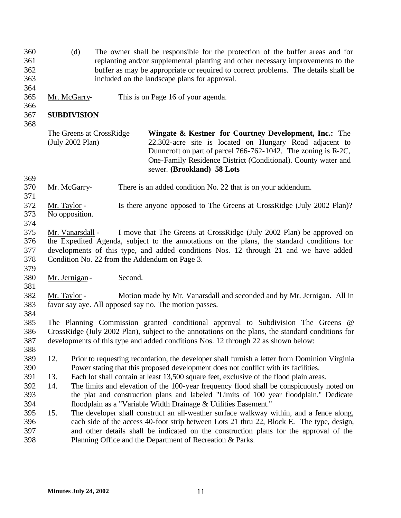- (d) The owner shall be responsible for the protection of the buffer areas and for replanting and/or supplemental planting and other necessary improvements to the buffer as may be appropriate or required to correct problems. The details shall be included on the landscape plans for approval.
- Mr. McGarry- This is on Page 16 of your agenda.

## **SUBDIVISION**

| The Greens at CrossRidge | <b>Wingate &amp; Kestner for Courtney Development, Inc.:</b> The |
|--------------------------|------------------------------------------------------------------|
| (July 2002 Plan)         | 22.302-acre site is located on Hungary Road adjacent to          |
|                          | Dunncroft on part of parcel 766-762-1042. The zoning is R-2C,    |
|                          | One-Family Residence District (Conditional). County water and    |
|                          | sewer. (Brookland) 58 Lots                                       |

- 
- Mr. McGarry- There is an added condition No. 22 that is on your addendum.
- Mr. Taylor Is there anyone opposed to The Greens at CrossRidge (July 2002 Plan)? No opposition.
- 

 Mr. Vanarsdall - I move that The Greens at CrossRidge (July 2002 Plan) be approved on the Expedited Agenda, subject to the annotations on the plans, the standard conditions for developments of this type, and added conditions Nos. 12 through 21 and we have added Condition No. 22 from the Addendum on Page 3.

- 380 Mr. Jernigan Second.
- Mr. Taylor Motion made by Mr. Vanarsdall and seconded and by Mr. Jernigan. All in favor say aye. All opposed say no. The motion passes.
- 

 The Planning Commission granted conditional approval to Subdivision The Greens @ CrossRidge (July 2002 Plan), subject to the annotations on the plans, the standard conditions for developments of this type and added conditions Nos. 12 through 22 as shown below:

- 12. Prior to requesting recordation, the developer shall furnish a letter from Dominion Virginia Power stating that this proposed development does not conflict with its facilities.
- 13. Each lot shall contain at least 13,500 square feet, exclusive of the flood plain areas.
- 14. The limits and elevation of the 100-year frequency flood shall be conspicuously noted on the plat and construction plans and labeled "Limits of 100 year floodplain." Dedicate floodplain as a "Variable Width Drainage & Utilities Easement."
- 15. The developer shall construct an all-weather surface walkway within, and a fence along, each side of the access 40-foot strip between Lots 21 thru 22, Block E. The type, design, and other details shall be indicated on the construction plans for the approval of the Planning Office and the Department of Recreation & Parks.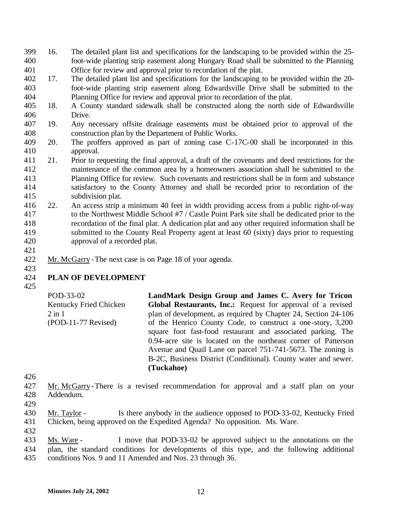- 16. The detailed plant list and specifications for the landscaping to be provided within the 25- foot-wide planting strip easement along Hungary Road shall be submitted to the Planning Office for review and approval prior to recordation of the plat.
- 17. The detailed plant list and specifications for the landscaping to be provided within the 20- foot-wide planting strip easement along Edwardsville Drive shall be submitted to the Planning Office for review and approval prior to recordation of the plat.
- 18. A County standard sidewalk shall be constructed along the north side of Edwardsville Drive.
- 19. Any necessary offsite drainage easements must be obtained prior to approval of the construction plan by the Department of Public Works.
- 20. The proffers approved as part of zoning case C-17C-00 shall be incorporated in this approval.
- 21. Prior to requesting the final approval, a draft of the covenants and deed restrictions for the maintenance of the common area by a homeowners association shall be submitted to the Planning Office for review. Such covenants and restrictions shall be in form and substance satisfactory to the County Attorney and shall be recorded prior to recordation of the subdivision plat.
- 22. An access strip a minimum 40 feet in width providing access from a public right-of-way to the Northwest Middle School #7 / Castle Point Park site shall be dedicated prior to the recordation of the final plat. A dedication plat and any other required information shall be submitted to the County Real Property agent at least 60 (sixty) days prior to requesting approval of a recorded plat.
- 
- Mr. McGarry -The next case is on Page 18 of your agenda.

## **PLAN OF DEVELOPMENT**

POD-33-02 Kentucky Fried Chicken 2 in 1 (POD-11-77 Revised) **LandMark Design Group and James C. Avery for Tricon Global Restaurants, Inc.:** Request for approval of a revised plan of development, as required by Chapter 24, Section 24-106 of the Henrico County Code, to construct a one-story, 3,200 square foot fast-food restaurant and associated parking. The 0.94-acre site is located on the northeast corner of Patterson Avenue and Quail Lane on parcel 751-741-5673. The zoning is B-2C, Business District (Conditional). County water and sewer. **(Tuckahoe)**

- Mr. McGarry -There is a revised recommendation for approval and a staff plan on your Addendum.
- 
- Mr. Taylor Is there anybody in the audience opposed to POD-33-02, Kentucky Fried Chicken, being approved on the Expedited Agenda? No opposition. Ms. Ware.
- 
- Ms. Ware I move that POD-33-02 be approved subject to the annotations on the plan, the standard conditions for developments of this type, and the following additional conditions Nos. 9 and 11 Amended and Nos. 23 through 36.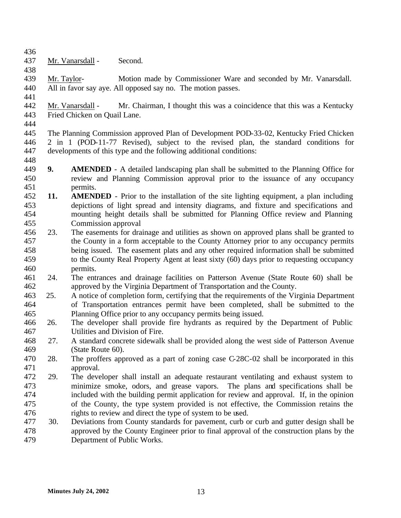- Mr. Vanarsdall Second.
- Mr. Taylor- Motion made by Commissioner Ware and seconded by Mr. Vanarsdall. All in favor say aye. All opposed say no. The motion passes.
- Mr. Vanarsdall Mr. Chairman, I thought this was a coincidence that this was a Kentucky Fried Chicken on Quail Lane.
- 

 The Planning Commission approved Plan of Development POD-33-02, Kentucky Fried Chicken 2 in 1 (POD-11-77 Revised), subject to the revised plan, the standard conditions for developments of this type and the following additional conditions: 

- **9. AMENDED** A detailed landscaping plan shall be submitted to the Planning Office for review and Planning Commission approval prior to the issuance of any occupancy permits.
- **11. AMENDED** Prior to the installation of the site lighting equipment, a plan including depictions of light spread and intensity diagrams, and fixture and specifications and mounting height details shall be submitted for Planning Office review and Planning Commission approval
- 23. The easements for drainage and utilities as shown on approved plans shall be granted to the County in a form acceptable to the County Attorney prior to any occupancy permits being issued. The easement plats and any other required information shall be submitted to the County Real Property Agent at least sixty (60) days prior to requesting occupancy permits.
- 24. The entrances and drainage facilities on Patterson Avenue (State Route 60) shall be approved by the Virginia Department of Transportation and the County.
- 25. A notice of completion form, certifying that the requirements of the Virginia Department of Transportation entrances permit have been completed, shall be submitted to the Planning Office prior to any occupancy permits being issued.
- 26. The developer shall provide fire hydrants as required by the Department of Public Utilities and Division of Fire.
- 27. A standard concrete sidewalk shall be provided along the west side of Patterson Avenue (State Route 60).
- 28. The proffers approved as a part of zoning case C-28C-02 shall be incorporated in this approval.
- 29. The developer shall install an adequate restaurant ventilating and exhaust system to minimize smoke, odors, and grease vapors. The plans and specifications shall be included with the building permit application for review and approval. If, in the opinion of the County, the type system provided is not effective, the Commission retains the rights to review and direct the type of system to be used.
- 30. Deviations from County standards for pavement, curb or curb and gutter design shall be approved by the County Engineer prior to final approval of the construction plans by the Department of Public Works.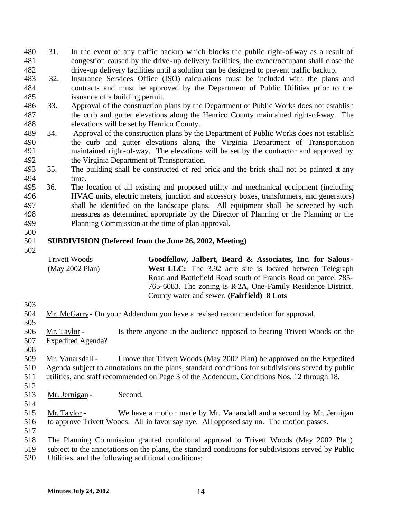- 31. In the event of any traffic backup which blocks the public right-of-way as a result of congestion caused by the drive-up delivery facilities, the owner/occupant shall close the drive-up delivery facilities until a solution can be designed to prevent traffic backup.
- 32. Insurance Services Office (ISO) calculations must be included with the plans and contracts and must be approved by the Department of Public Utilities prior to the issuance of a building permit.
- 33. Approval of the construction plans by the Department of Public Works does not establish the curb and gutter elevations along the Henrico County maintained right-of-way. The elevations will be set by Henrico County.
- 34. Approval of the construction plans by the Department of Public Works does not establish the curb and gutter elevations along the Virginia Department of Transportation maintained right-of-way. The elevations will be set by the contractor and approved by the Virginia Department of Transportation.
- 35. The building shall be constructed of red brick and the brick shall not be painted at any time.
- 36. The location of all existing and proposed utility and mechanical equipment (including HVAC units, electric meters, junction and accessory boxes, transformers, and generators) shall be identified on the landscape plans. All equipment shall be screened by such measures as determined appropriate by the Director of Planning or the Planning or the Planning Commission at the time of plan approval.
- 

## **SUBDIVISION (Deferred from the June 26, 2002, Meeting)**

| Trivett Woods   | Goodfellow, Jalbert, Beard & Associates, Inc. for Salous -       |
|-----------------|------------------------------------------------------------------|
| (May 2002 Plan) | <b>West LLC:</b> The 3.92 acre site is located between Telegraph |
|                 | Road and Battlefield Road south of Francis Road on parcel 785-   |
|                 | 765-6083. The zoning is R-2A, One-Family Residence District.     |
|                 | County water and sewer. (Fairfield) 8 Lots                       |

Mr. McGarry - On your Addendum you have a revised recommendation for approval.

 Mr. Taylor - Is there anyone in the audience opposed to hearing Trivett Woods on the Expedited Agenda?

 Mr. Vanarsdall - I move that Trivett Woods (May 2002 Plan) be approved on the Expedited Agenda subject to annotations on the plans, standard conditions for subdivisions served by public utilities, and staff recommended on Page 3 of the Addendum, Conditions Nos. 12 through 18. 

- 513 Mr. Jernigan Second.
- 

 Mr. Taylor - We have a motion made by Mr. Vanarsdall and a second by Mr. Jernigan to approve Trivett Woods. All in favor say aye. All opposed say no. The motion passes.

The Planning Commission granted conditional approval to Trivett Woods (May 2002 Plan)

 subject to the annotations on the plans, the standard conditions for subdivisions served by Public Utilities, and the following additional conditions: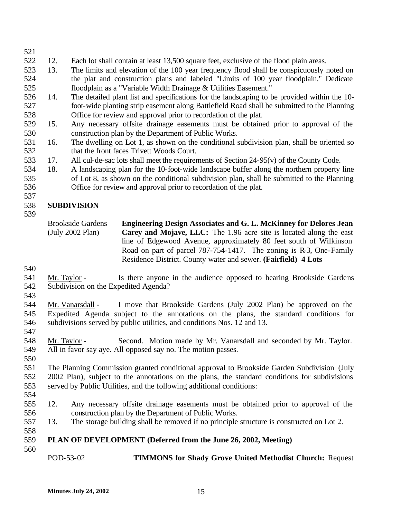# 12. Each lot shall contain at least 13,500 square feet, exclusive of the flood plain areas.

- 13. The limits and elevation of the 100 year frequency flood shall be conspicuously noted on the plat and construction plans and labeled "Limits of 100 year floodplain." Dedicate floodplain as a "Variable Width Drainage & Utilities Easement."
- 14. The detailed plant list and specifications for the landscaping to be provided within the 10- foot-wide planting strip easement along Battlefield Road shall be submitted to the Planning Office for review and approval prior to recordation of the plat.
- 15. Any necessary offsite drainage easements must be obtained prior to approval of the construction plan by the Department of Public Works.
- 16. The dwelling on Lot 1, as shown on the conditional subdivision plan, shall be oriented so that the front faces Trivett Woods Court.
- 17. All cul-de-sac lots shall meet the requirements of Section 24-95(v) of the County Code.
- 18. A landscaping plan for the 10-foot-wide landscape buffer along the northern property line of Lot 8, as shown on the conditional subdivision plan, shall be submitted to the Planning
- Office for review and approval prior to recordation of the plat.
- 

## **SUBDIVISION**

Brookside Gardens (July 2002 Plan) **Engineering Design Associates and G. L. McKinney for Delores Jean Carey and Mojave, LLC:** The 1.96 acre site is located along the east line of Edgewood Avenue, approximately 80 feet south of Wilkinson Road on part of parcel 787-754-1417. The zoning is R-3, One-Family Residence District. County water and sewer. **(Fairfield) 4 Lots**

 Mr. Taylor - Is there anyone in the audience opposed to hearing Brookside Gardens Subdivision on the Expedited Agenda?

 Mr. Vanarsdall - I move that Brookside Gardens (July 2002 Plan) be approved on the Expedited Agenda subject to the annotations on the plans, the standard conditions for subdivisions served by public utilities, and conditions Nos. 12 and 13.

 Mr. Taylor - Second. Motion made by Mr. Vanarsdall and seconded by Mr. Taylor. All in favor say aye. All opposed say no. The motion passes.

 The Planning Commission granted conditional approval to Brookside Garden Subdivision (July 2002 Plan), subject to the annotations on the plans, the standard conditions for subdivisions served by Public Utilities, and the following additional conditions:

- 
- 12. Any necessary offsite drainage easements must be obtained prior to approval of the construction plan by the Department of Public Works.
- 13. The storage building shall be removed if no principle structure is constructed on Lot 2.

## **PLAN OF DEVELOPMENT (Deferred from the June 26, 2002, Meeting)**

POD-53-02 **TIMMONS for Shady Grove United Methodist Church:** Request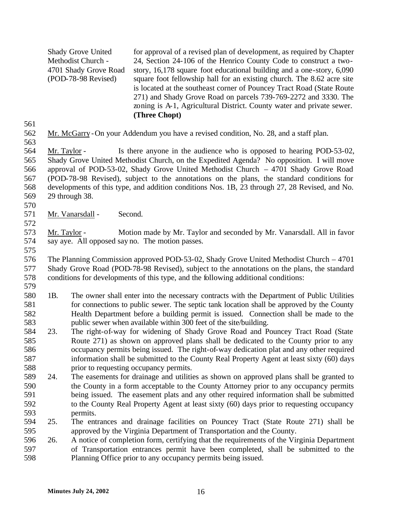Shady Grove United Methodist Church - 4701 Shady Grove Road (POD-78-98 Revised) for approval of a revised plan of development, as required by Chapter 24, Section 24-106 of the Henrico County Code to construct a twostory, 16,178 square foot educational building and a one-story, 6,090 square foot fellowship hall for an existing church. The 8.62 acre site is located at the southeast corner of Pouncey Tract Road (State Route 271) and Shady Grove Road on parcels 739-769-2272 and 3330. The zoning is A-1, Agricultural District. County water and private sewer. **(Three Chopt)**

- Mr. McGarry -On your Addendum you have a revised condition, No. 28, and a staff plan.
- 

 Mr. Taylor - Is there anyone in the audience who is opposed to hearing POD-53-02, Shady Grove United Methodist Church, on the Expedited Agenda? No opposition. I will move approval of POD-53-02, Shady Grove United Methodist Church – 4701 Shady Grove Road (POD-78-98 Revised), subject to the annotations on the plans, the standard conditions for developments of this type, and addition conditions Nos. 1B, 23 through 27, 28 Revised, and No. 29 through 38.

Mr. Vanarsdall - Second.

 Mr. Taylor - Motion made by Mr. Taylor and seconded by Mr. Vanarsdall. All in favor say aye. All opposed say no. The motion passes.

 The Planning Commission approved POD-53-02, Shady Grove United Methodist Church – 4701 Shady Grove Road (POD-78-98 Revised), subject to the annotations on the plans, the standard conditions for developments of this type, and the following additional conditions:

- 
- 1B. The owner shall enter into the necessary contracts with the Department of Public Utilities 581 for connections to public sewer. The septic tank location shall be approved by the County Health Department before a building permit is issued. Connection shall be made to the public sewer when available within 300 feet of the site/building.
- 23. The right-of-way for widening of Shady Grove Road and Pouncey Tract Road (State Route 271) as shown on approved plans shall be dedicated to the County prior to any occupancy permits being issued. The right-of-way dedication plat and any other required information shall be submitted to the County Real Property Agent at least sixty (60) days prior to requesting occupancy permits.
- 24. The easements for drainage and utilities as shown on approved plans shall be granted to the County in a form acceptable to the County Attorney prior to any occupancy permits being issued. The easement plats and any other required information shall be submitted to the County Real Property Agent at least sixty (60) days prior to requesting occupancy permits.
- 25. The entrances and drainage facilities on Pouncey Tract (State Route 271) shall be approved by the Virginia Department of Transportation and the County.
- 26. A notice of completion form, certifying that the requirements of the Virginia Department of Transportation entrances permit have been completed, shall be submitted to the Planning Office prior to any occupancy permits being issued.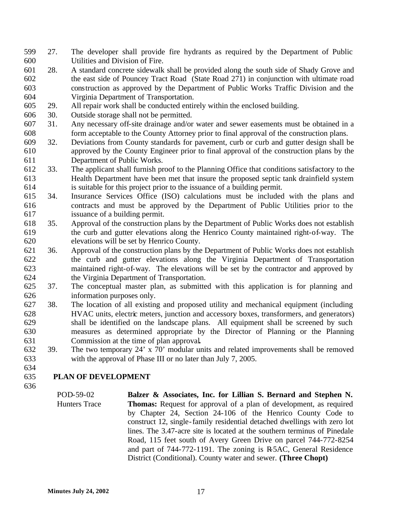- 27. The developer shall provide fire hydrants as required by the Department of Public Utilities and Division of Fire.
- 28. A standard concrete sidewalk shall be provided along the south side of Shady Grove and the east side of Pouncey Tract Road (State Road 271) in conjunction with ultimate road construction as approved by the Department of Public Works Traffic Division and the Virginia Department of Transportation.
- 29. All repair work shall be conducted entirely within the enclosed building.
- 30. Outside storage shall not be permitted.
- 31. Any necessary off-site drainage and/or water and sewer easements must be obtained in a form acceptable to the County Attorney prior to final approval of the construction plans.
- 32. Deviations from County standards for pavement, curb or curb and gutter design shall be approved by the County Engineer prior to final approval of the construction plans by the Department of Public Works.
- 33. The applicant shall furnish proof to the Planning Office that conditions satisfactory to the Health Department have been met that insure the proposed septic tank drainfield system is suitable for this project prior to the issuance of a building permit.
- 34. Insurance Services Office (ISO) calculations must be included with the plans and contracts and must be approved by the Department of Public Utilities prior to the issuance of a building permit.
- 35. Approval of the construction plans by the Department of Public Works does not establish the curb and gutter elevations along the Henrico County maintained right-of-way. The elevations will be set by Henrico County.
- 36. Approval of the construction plans by the Department of Public Works does not establish the curb and gutter elevations along the Virginia Department of Transportation maintained right-of-way. The elevations will be set by the contractor and approved by the Virginia Department of Transportation.
- 37. The conceptual master plan, as submitted with this application is for planning and information purposes only.
- 38. The location of all existing and proposed utility and mechanical equipment (including HVAC units, electric meters, junction and accessory boxes, transformers, and generators) shall be identified on the landscape plans. All equipment shall be screened by such measures as determined appropriate by the Director of Planning or the Planning Commission at the time of plan approval**.**
- 39. The two temporary 24' x 70' modular units and related improvements shall be removed with the approval of Phase III or no later than July 7, 2005.

## **PLAN OF DEVELOPMENT**

POD-59-02 Hunters Trace **Balzer & Associates, Inc. for Lillian S. Bernard and Stephen N. Thomas:** Request for approval of a plan of development, as required by Chapter 24, Section 24-106 of the Henrico County Code to construct 12, single-family residential detached dwellings with zero lot lines. The 3.47-acre site is located at the southern terminus of Pinedale Road, 115 feet south of Avery Green Drive on parcel 744-772-8254 and part of 744-772-1191. The zoning is R-5AC, General Residence District (Conditional). County water and sewer. **(Three Chopt)**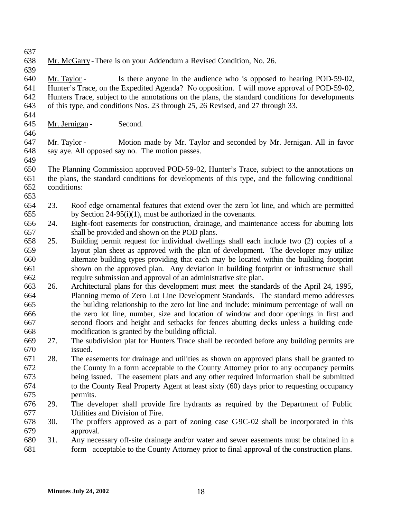- 
- Mr. McGarry -There is on your Addendum a Revised Condition, No. 26.
- 

 Mr. Taylor - Is there anyone in the audience who is opposed to hearing POD-59-02, Hunter's Trace, on the Expedited Agenda? No opposition. I will move approval of POD-59-02, Hunters Trace, subject to the annotations on the plans, the standard conditions for developments of this type, and conditions Nos. 23 through 25, 26 Revised, and 27 through 33.

- 
- Mr. Jernigan Second.
- 

 Mr. Taylor - Motion made by Mr. Taylor and seconded by Mr. Jernigan. All in favor say aye. All opposed say no. The motion passes.

 The Planning Commission approved POD-59-02, Hunter's Trace, subject to the annotations on the plans, the standard conditions for developments of this type, and the following conditional conditions:

- 
- 23. Roof edge ornamental features that extend over the zero lot line, and which are permitted by Section 24-95(i)(1), must be authorized in the covenants.
- 24. Eight-foot easements for construction, drainage, and maintenance access for abutting lots shall be provided and shown on the POD plans.
- 25. Building permit request for individual dwellings shall each include two (2) copies of a layout plan sheet as approved with the plan of development. The developer may utilize alternate building types providing that each may be located within the building footprint shown on the approved plan. Any deviation in building footprint or infrastructure shall require submission and approval of an administrative site plan.
- 26. Architectural plans for this development must meet the standards of the April 24, 1995, Planning memo of Zero Lot Line Development Standards. The standard memo addresses the building relationship to the zero lot line and include: minimum percentage of wall on the zero lot line, number, size and location of window and door openings in first and second floors and height and setbacks for fences abutting decks unless a building code modification is granted by the building official.
- 27. The subdivision plat for Hunters Trace shall be recorded before any building permits are issued.
- 28. The easements for drainage and utilities as shown on approved plans shall be granted to the County in a form acceptable to the County Attorney prior to any occupancy permits being issued. The easement plats and any other required information shall be submitted to the County Real Property Agent at least sixty (60) days prior to requesting occupancy permits.
- 29. The developer shall provide fire hydrants as required by the Department of Public Utilities and Division of Fire.
- 30. The proffers approved as a part of zoning case C-9C-02 shall be incorporated in this approval.
- 31. Any necessary off-site drainage and/or water and sewer easements must be obtained in a form acceptable to the County Attorney prior to final approval of the construction plans.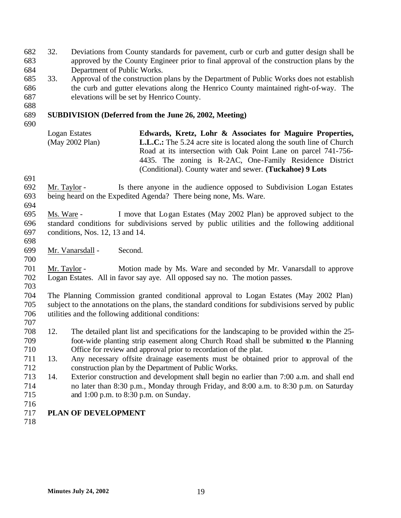32. Deviations from County standards for pavement, curb or curb and gutter design shall be approved by the County Engineer prior to final approval of the construction plans by the Department of Public Works.

 33. Approval of the construction plans by the Department of Public Works does not establish the curb and gutter elevations along the Henrico County maintained right-of-way. The elevations will be set by Henrico County.

## **SUBDIVISION (Deferred from the June 26, 2002, Meeting)**

Logan Estates (May 2002 Plan) **Edwards, Kretz, Lohr & Associates for Maguire Properties, L.L.C.:** The 5.24 acre site is located along the south line of Church Road at its intersection with Oak Point Lane on parcel 741-756- 4435. The zoning is R-2AC, One-Family Residence District (Conditional). County water and sewer. **(Tuckahoe) 9 Lots**

- Mr. Taylor Is there anyone in the audience opposed to Subdivision Logan Estates being heard on the Expedited Agenda? There being none, Ms. Ware.
- 

 Ms. Ware - I move that Logan Estates (May 2002 Plan) be approved subject to the standard conditions for subdivisions served by public utilities and the following additional conditions, Nos. 12, 13 and 14.

Mr. Vanarsdall - Second.

 Mr. Taylor - Motion made by Ms. Ware and seconded by Mr. Vanarsdall to approve Logan Estates. All in favor say aye. All opposed say no. The motion passes. 

 The Planning Commission granted conditional approval to Logan Estates (May 2002 Plan) subject to the annotations on the plans, the standard conditions for subdivisions served by public utilities and the following additional conditions:

- 12. The detailed plant list and specifications for the landscaping to be provided within the 25- foot-wide planting strip easement along Church Road shall be submitted to the Planning Office for review and approval prior to recordation of the plat.
- 13. Any necessary offsite drainage easements must be obtained prior to approval of the construction plan by the Department of Public Works.
- 14. Exterior construction and development shall begin no earlier than 7:00 a.m. and shall end no later than 8:30 p.m., Monday through Friday, and 8:00 a.m. to 8:30 p.m. on Saturday and 1:00 p.m. to 8:30 p.m. on Sunday.
- 

## **PLAN OF DEVELOPMENT**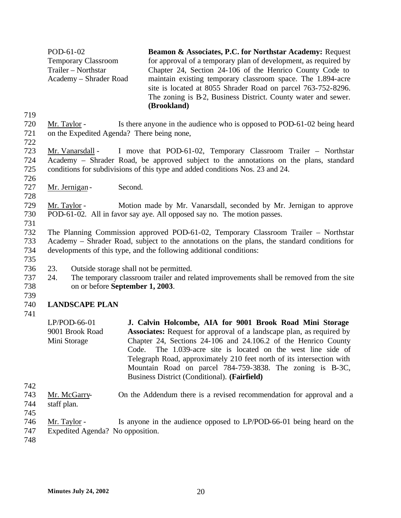POD-61-02 Temporary Classroom Trailer – Northstar Academy – Shrader Road **Beamon & Associates, P.C. for Northstar Academy:** Request for approval of a temporary plan of development, as required by Chapter 24, Section 24-106 of the Henrico County Code to maintain existing temporary classroom space. The 1.894-acre site is located at 8055 Shrader Road on parcel 763-752-8296. The zoning is B-2, Business District. County water and sewer. **(Brookland)**

- 719
- 720 Mr. Taylor Is there anyone in the audience who is opposed to POD-61-02 being heard 721 on the Expedited Agenda? There being none,
- 722

723 Mr. Vanarsdall - I move that POD-61-02, Temporary Classroom Trailer – Northstar 724 Academy – Shrader Road, be approved subject to the annotations on the plans, standard 725 conditions for subdivisions of this type and added conditions Nos. 23 and 24.

726

728

727 Mr. Jernigan - Second.

## 729 Mr. Taylor - Motion made by Mr. Vanarsdall, seconded by Mr. Jernigan to approve 730 POD-61-02. All in favor say aye. All opposed say no. The motion passes.

- 731 732 The Planning Commission approved POD-61-02, Temporary Classroom Trailer – Northstar 733 Academy – Shrader Road, subject to the annotations on the plans, the standard conditions for 734 developments of this type, and the following additional conditions:
- 736 23. Outside storage shall not be permitted.
- 737 24. The temporary classroom trailer and related improvements shall be removed from the site 738 on or before **September 1, 2003**.
- 739

735

## 740 **LANDSCAPE PLAN**

- 741
- LP/POD-66-01 9001 Brook Road Mini Storage **J. Calvin Holcombe, AIA for 9001 Brook Road Mini Storage Associates:** Request for approval of a landscape plan, as required by Chapter 24, Sections 24-106 and 24.106.2 of the Henrico County Code. The 1.039-acre site is located on the west line side of Telegraph Road, approximately 210 feet north of its intersection with Mountain Road on parcel 784-759-3838. The zoning is B-3C, Business District (Conditional). **(Fairfield)**
- 742
- 743 Mr. McGarry- On the Addendum there is a revised recommendation for approval and a 744 staff plan.
- 745
- 746 Mr. Taylor Is anyone in the audience opposed to LP/POD-66-01 being heard on the 747 Expedited Agenda? No opposition.
- 748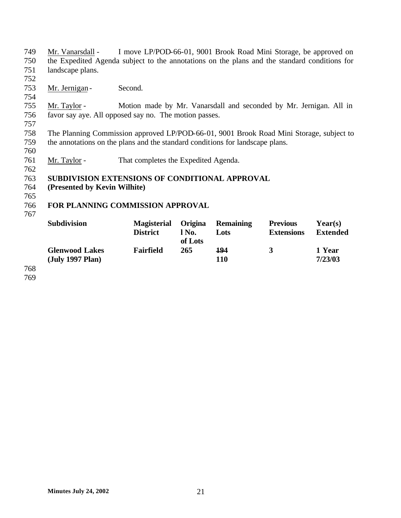- 749 Mr. Vanarsdall I move LP/POD-66-01, 9001 Brook Road Mini Storage, be approved on 750 the Expedited Agenda subject to the annotations on the plans and the standard conditions for 751 landscape plans.
- 752

757

760

762

753 Mr. Jernigan - Second.

755 Mr. Taylor - Motion made by Mr. Vanarsdall and seconded by Mr. Jernigan. All in 756 favor say aye. All opposed say no. The motion passes.

758 The Planning Commission approved LP/POD-66-01, 9001 Brook Road Mini Storage, subject to 759 the annotations on the plans and the standard conditions for landscape plans.

761 Mr. Taylor - That completes the Expedited Agenda.

#### 763 **SUBDIVISION EXTENSIONS OF CONDITIONAL APPROVAL**

- 764 **(Presented by Kevin Wilhite)**
- 765

#### 766 **FOR PLANNING COMMISSION APPROVAL** 767

| <b>Subdivision</b>                        | <b>Magisterial</b><br><b>District</b> | <b>Origina</b><br>l No.<br>of Lots | <b>Remaining</b><br>Lots | <b>Previous</b><br><b>Extensions</b> | Year(s)<br><b>Extended</b> |
|-------------------------------------------|---------------------------------------|------------------------------------|--------------------------|--------------------------------------|----------------------------|
| <b>Glenwood Lakes</b><br>(July 1997 Plan) | Fairfield                             | 265                                | 194<br>110               | 3                                    | 1 Year<br>7/23/03          |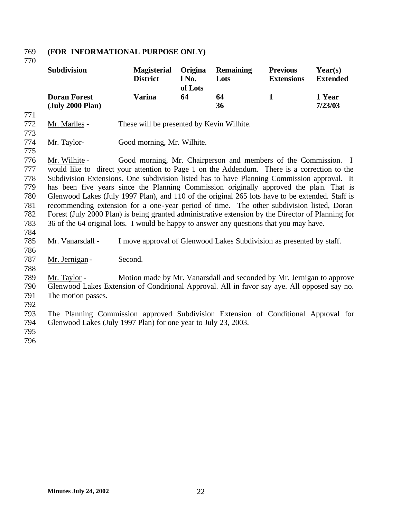## **(FOR INFORMATIONAL PURPOSE ONLY)** 769<br>770

|            | <b>Subdivision</b>                                                                                | <b>Magisterial</b><br><b>District</b>                                 | Origina<br>l No.<br>of Lots | <b>Remaining</b><br>Lots | <b>Previous</b><br><b>Extensions</b> | Year(s)<br><b>Extended</b> |
|------------|---------------------------------------------------------------------------------------------------|-----------------------------------------------------------------------|-----------------------------|--------------------------|--------------------------------------|----------------------------|
|            | <b>Doran Forest</b><br>(July 2000 Plan)                                                           | <b>Varina</b>                                                         | 64                          | 64<br>36                 | $\mathbf{1}$                         | 1 Year<br>7/23/03          |
| 771        |                                                                                                   |                                                                       |                             |                          |                                      |                            |
| 772<br>773 | Mr. Marlles -                                                                                     | These will be presented by Kevin Wilhite.                             |                             |                          |                                      |                            |
| 774<br>775 | Mr. Taylor-                                                                                       | Good morning, Mr. Wilhite.                                            |                             |                          |                                      |                            |
| 776        | Mr. Wilhite -                                                                                     | Good morning, Mr. Chairperson and members of the Commission. I        |                             |                          |                                      |                            |
| 777        | would like to direct your attention to Page 1 on the Addendum. There is a correction to the       |                                                                       |                             |                          |                                      |                            |
| 778        | Subdivision Extensions. One subdivision listed has to have Planning Commission approval. It       |                                                                       |                             |                          |                                      |                            |
| 779        | has been five years since the Planning Commission originally approved the plan. That is           |                                                                       |                             |                          |                                      |                            |
| 780        | Glenwood Lakes (July 1997 Plan), and 110 of the original 265 lots have to be extended. Staff is   |                                                                       |                             |                          |                                      |                            |
| 781        | recommending extension for a one-year period of time. The other subdivision listed, Doran         |                                                                       |                             |                          |                                      |                            |
| 782        | Forest (July 2000 Plan) is being granted administrative extension by the Director of Planning for |                                                                       |                             |                          |                                      |                            |
| 783        | 36 of the 64 original lots. I would be happy to answer any questions that you may have.           |                                                                       |                             |                          |                                      |                            |
| 784        |                                                                                                   |                                                                       |                             |                          |                                      |                            |
| 785        | Mr. Vanarsdall -                                                                                  | I move approval of Glenwood Lakes Subdivision as presented by staff.  |                             |                          |                                      |                            |
| 786        |                                                                                                   |                                                                       |                             |                          |                                      |                            |
| 787        | Mr. Jernigan-                                                                                     | Second.                                                               |                             |                          |                                      |                            |
| 788        |                                                                                                   |                                                                       |                             |                          |                                      |                            |
| 789        | Mr. Taylor -                                                                                      | Motion made by Mr. Vanarsdall and seconded by Mr. Jernigan to approve |                             |                          |                                      |                            |
| 790        | Glenwood Lakes Extension of Conditional Approval. All in favor say aye. All opposed say no.       |                                                                       |                             |                          |                                      |                            |
| 791        | The motion passes.                                                                                |                                                                       |                             |                          |                                      |                            |
| 792        |                                                                                                   |                                                                       |                             |                          |                                      |                            |
| 793        | The Planning Commission approved Subdivision Extension of Conditional Approval for                |                                                                       |                             |                          |                                      |                            |
| 794        | Glenwood Lakes (July 1997 Plan) for one year to July 23, 2003.                                    |                                                                       |                             |                          |                                      |                            |
| 795        |                                                                                                   |                                                                       |                             |                          |                                      |                            |
| 796        |                                                                                                   |                                                                       |                             |                          |                                      |                            |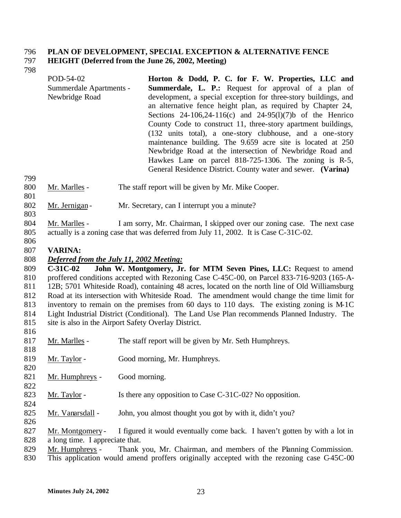# **PLAN OF DEVELOPMENT, SPECIAL EXCEPTION & ALTERNATIVE FENCE**

## **HEIGHT (Deferred from the June 26, 2002, Meeting)**

| POD-54-02                      | Horton & Dodd, P. C. for F. W. Properties, LLC and              |
|--------------------------------|-----------------------------------------------------------------|
| <b>Summerdale Apartments -</b> | <b>Summerdale, L. P.:</b> Request for approval of a plan of     |
| Newbridge Road                 | development, a special exception for three-story buildings, and |
|                                | an alternative fence height plan, as required by Chapter 24,    |
|                                | Sections 24-106,24-116(c) and 24-95(1)(7)b of the Henrico       |
|                                | County Code to construct 11, three-story apartment buildings,   |
|                                | (132 units total), a one-story clubhouse, and a one-story       |
|                                | maintenance building. The 9.659 acre site is located at 250     |
|                                | Newbridge Road at the intersection of Newbridge Road and        |
|                                | Hawkes Lane on parcel 818-725-1306. The zoning is R-5,          |
|                                | General Residence District. County water and sewer. (Varina)    |

- Mr. Marlles The staff report will be given by Mr. Mike Cooper.
- 802 Mr. Jernigan Mr. Secretary, can I interrupt you a minute?
- Mr. Marlles I am sorry, Mr. Chairman, I skipped over our zoning case. The next case actually is a zoning case that was deferred from July 11, 2002. It is Case C-31C-02.
- 

#### **VARINA:**

## *Deferred from the July 11, 2002 Meeting:*

 **C-31C-02 John W. Montgomery, Jr. for MTM Seven Pines, LLC:** Request to amend proffered conditions accepted with Rezoning Case C-45C-00, on Parcel 833-716-9203 (165-A- 12B; 5701 Whiteside Road), containing 48 acres, located on the north line of Old Williamsburg Road at its intersection with Whiteside Road. The amendment would change the time limit for inventory to remain on the premises from 60 days to 110 days. The existing zoning is M-1C Light Industrial District (Conditional). The Land Use Plan recommends Planned Industry. The site is also in the Airport Safety Overlay District.

- Mr. Marlles The staff report will be given by Mr. Seth Humphreys.
- Mr. Taylor Good morning, Mr. Humphreys.
- Mr. Humphreys Good morning.
- 823 Mr. Taylor Is there any opposition to Case C-31C-02? No opposition.
- 825 Mr. Vanarsdall John, you almost thought you got by with it, didn't you?
- 827 Mr. Montgomery I figured it would eventually come back. I haven't gotten by with a lot in a long time. I appreciate that.
- Mr. Humphreys Thank you, Mr. Chairman, and members of the Planning Commission.
- This application would amend proffers originally accepted with the rezoning case C-45C-00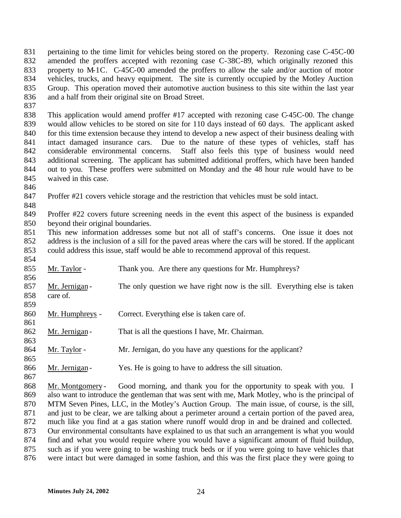831 pertaining to the time limit for vehicles being stored on the property. Rezoning case C-45C-00 amended the proffers accepted with rezoning case C-38C-89, which originally rezoned this property to M-1C. C-45C-00 amended the proffers to allow the sale and/or auction of motor vehicles, trucks, and heavy equipment. The site is currently occupied by the Motley Auction Group. This operation moved their automotive auction business to this site within the last year and a half from their original site on Broad Street.

 This application would amend proffer #17 accepted with rezoning case C-45C-00. The change would allow vehicles to be stored on site for 110 days instead of 60 days. The applicant asked 840 for this time extension because they intend to develop a new aspect of their business dealing with intact damaged insurance cars. Due to the nature of these types of vehicles, staff has considerable environmental concerns. Staff also feels this type of business would need additional screening. The applicant has submitted additional proffers, which have been handed out to you. These proffers were submitted on Monday and the 48 hour rule would have to be waived in this case.

Proffer #21 covers vehicle storage and the restriction that vehicles must be sold intact.

 Proffer #22 covers future screening needs in the event this aspect of the business is expanded beyond their original boundaries.

 This new information addresses some but not all of staff's concerns. One issue it does not address is the inclusion of a sill for the paved areas where the cars will be stored. If the applicant could address this issue, staff would be able to recommend approval of this request.

| 854 |                  |                                                                                                  |
|-----|------------------|--------------------------------------------------------------------------------------------------|
| 855 | Mr. Taylor -     | Thank you. Are there any questions for Mr. Humphreys?                                            |
| 856 |                  |                                                                                                  |
| 857 | Mr. Jernigan-    | The only question we have right now is the sill. Everything else is taken                        |
| 858 | care of.         |                                                                                                  |
| 859 |                  |                                                                                                  |
| 860 | Mr. Humphreys -  | Correct. Everything else is taken care of.                                                       |
| 861 |                  |                                                                                                  |
| 862 | Mr. Jernigan-    | That is all the questions I have, Mr. Chairman.                                                  |
| 863 |                  |                                                                                                  |
| 864 | Mr. Taylor -     | Mr. Jernigan, do you have any questions for the applicant?                                       |
| 865 |                  |                                                                                                  |
| 866 | Mr. Jernigan-    | Yes. He is going to have to address the sill situation.                                          |
| 867 |                  |                                                                                                  |
| 868 | Mr. Montgomery - | Good morning, and thank you for the opportunity to speak with you. I                             |
| 869 |                  | also want to introduce the gentleman that was sent with me, Mark Motley, who is the principal of |
| 870 |                  | MTM Seven Pines, LLC, in the Motley's Auction Group. The main issue, of course, is the sill,     |
|     |                  |                                                                                                  |

 and just to be clear, we are talking about a perimeter around a certain portion of the paved area, much like you find at a gas station where runoff would drop in and be drained and collected.

 Our environmental consultants have explained to us that such an arrangement is what you would find and what you would require where you would have a significant amount of fluid buildup,

such as if you were going to be washing truck beds or if you were going to have vehicles that

were intact but were damaged in some fashion, and this was the first place they were going to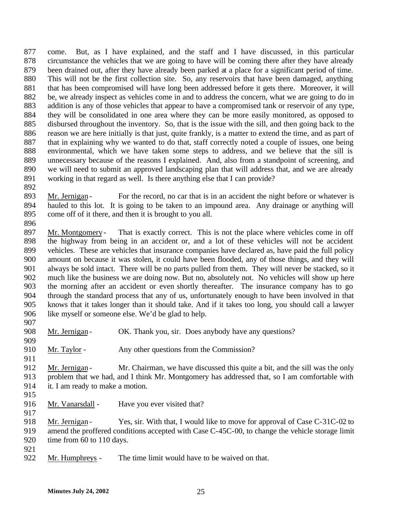come. But, as I have explained, and the staff and I have discussed, in this particular circumstance the vehicles that we are going to have will be coming there after they have already been drained out, after they have already been parked at a place for a significant period of time. This will not be the first collection site. So, any reservoirs that have been damaged, anything that has been compromised will have long been addressed before it gets there. Moreover, it will be, we already inspect as vehicles come in and to address the concern, what we are going to do in addition is any of those vehicles that appear to have a compromised tank or reservoir of any type, they will be consolidated in one area where they can be more easily monitored, as opposed to disbursed throughout the inventory. So, that is the issue with the sill, and then going back to the reason we are here initially is that just, quite frankly, is a matter to extend the time, and as part of that in explaining why we wanted to do that, staff correctly noted a couple of issues, one being environmental, which we have taken some steps to address, and we believe that the sill is unnecessary because of the reasons I explained. And, also from a standpoint of screening, and we will need to submit an approved landscaping plan that will address that, and we are already working in that regard as well. Is there anything else that I can provide?

893 Mr. Jernigan - For the record, no car that is in an accident the night before or whatever is hauled to this lot. It is going to be taken to an impound area. Any drainage or anything will come off of it there, and then it is brought to you all.

897 Mr. Montgomery - That is exactly correct. This is not the place where vehicles come in off the highway from being in an accident or, and a lot of these vehicles will not be accident vehicles. These are vehicles that insurance companies have declared as, have paid the full policy amount on because it was stolen, it could have been flooded, any of those things, and they will always be sold intact. There will be no parts pulled from them. They will never be stacked, so it much like the business we are doing now. But no, absolutely not. No vehicles will show up here the morning after an accident or even shortly thereafter. The insurance company has to go through the standard process that any of us, unfortunately enough to have been involved in that knows that it takes longer than it should take. And if it takes too long, you should call a lawyer like myself or someone else. We'd be glad to help. 

| 908 | Mr. Jernigan- | OK. Thank you, sir. Does anybody have any questions? |
|-----|---------------|------------------------------------------------------|
| 909 |               |                                                      |

- 910 Mr. Taylor Any other questions from the Commission?
- 912 Mr. Jernigan Mr. Chairman, we have discussed this quite a bit, and the sill was the only problem that we had, and I think Mr. Montgomery has addressed that, so I am comfortable with it. I am ready to make a motion.
- 

916 Mr. Vanarsdall - Have you ever visited that?

918 Mr. Jernigan - Yes, sir. With that, I would like to move for approval of Case C-31C-02 to amend the proffered conditions accepted with Case C-45C-00, to change the vehicle storage limit 920 time from 60 to 110 days.

- 
- Mr. Humphreys The time limit would have to be waived on that.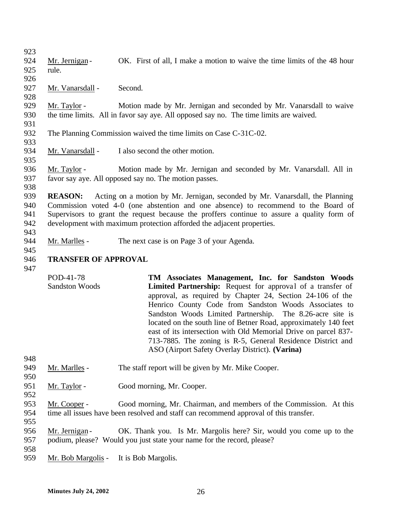| 923 |                             |                                                                                            |
|-----|-----------------------------|--------------------------------------------------------------------------------------------|
|     |                             |                                                                                            |
| 924 | Mr. Jernigan-               | OK. First of all, I make a motion to waive the time limits of the 48 hour                  |
| 925 | rule.                       |                                                                                            |
| 926 |                             |                                                                                            |
| 927 | Mr. Vanarsdall -            | Second.                                                                                    |
| 928 |                             |                                                                                            |
| 929 | Mr. Taylor -                | Motion made by Mr. Jernigan and seconded by Mr. Vanarsdall to waive                        |
| 930 |                             | the time limits. All in favor say aye. All opposed say no. The time limits are waived.     |
| 931 |                             |                                                                                            |
| 932 |                             | The Planning Commission waived the time limits on Case C-31C-02.                           |
| 933 |                             |                                                                                            |
| 934 | Mr. Vanarsdall -            | I also second the other motion.                                                            |
| 935 |                             |                                                                                            |
| 936 | Mr. Taylor -                | Motion made by Mr. Jernigan and seconded by Mr. Vanarsdall. All in                         |
| 937 |                             | favor say aye. All opposed say no. The motion passes.                                      |
| 938 |                             |                                                                                            |
| 939 | <b>REASON:</b>              | Acting on a motion by Mr. Jernigan, seconded by Mr. Vanarsdall, the Planning               |
| 940 |                             | Commission voted 4-0 (one abstention and one absence) to recommend to the Board of         |
| 941 |                             | Supervisors to grant the request because the proffers continue to assure a quality form of |
|     |                             |                                                                                            |
| 942 |                             | development with maximum protection afforded the adjacent properties.                      |
| 943 |                             |                                                                                            |
| 944 | Mr. Marlles -               | The next case is on Page 3 of your Agenda.                                                 |
| 945 |                             |                                                                                            |
| 946 | <b>TRANSFER OF APPROVAL</b> |                                                                                            |
| 947 |                             |                                                                                            |
|     | POD-41-78                   | TM Associates Management, Inc. for Sandston Woods                                          |
|     | <b>Sandston Woods</b>       | Limited Partnership: Request for approval of a transfer of                                 |
|     |                             | approval, as required by Chapter 24, Section 24-106 of the                                 |
|     |                             | Henrico County Code from Sandston Woods Associates to                                      |
|     |                             | Sandston Woods Limited Partnership. The 8.26-acre site is                                  |
|     |                             | located on the south line of Betner Road, approximately 140 feet                           |
|     |                             | east of its intersection with Old Memorial Drive on parcel 837-                            |
|     |                             | 713-7885. The zoning is R-5, General Residence District and                                |
|     |                             | ASO (Airport Safety Overlay District). (Varina)                                            |
| 948 |                             |                                                                                            |
| 949 | Mr. Marlles -               | The staff report will be given by Mr. Mike Cooper.                                         |
| 950 |                             |                                                                                            |
|     |                             |                                                                                            |
| 951 | Mr. Taylor -                | Good morning, Mr. Cooper.                                                                  |
| 952 |                             |                                                                                            |
| 953 | Mr. Cooper -                | Good morning, Mr. Chairman, and members of the Commission. At this                         |
| 954 |                             | time all issues have been resolved and staff can recommend approval of this transfer.      |
| 955 |                             |                                                                                            |
| 956 | Mr. Jernigan-               | OK. Thank you. Is Mr. Margolis here? Sir, would you come up to the                         |
| 957 |                             | podium, please? Would you just state your name for the record, please?                     |
| 958 |                             |                                                                                            |
| 959 | Mr. Bob Margolis -          | It is Bob Margolis.                                                                        |
|     |                             |                                                                                            |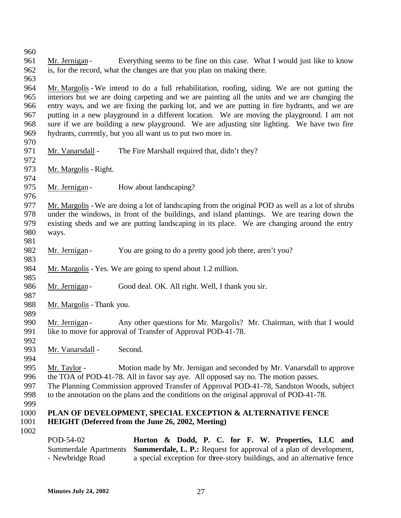- 961 Mr. Jernigan Everything seems to be fine on this case. What I would just like to know is, for the record, what the changes are that you plan on making there.
- 

 Mr. Margolis - We intend to do a full rehabilitation, roofing, siding. We are not gutting the interiors but we are doing carpeting and we are painting all the units and we are changing the entry ways, and we are fixing the parking lot, and we are putting in fire hydrants, and we are putting in a new playground in a different location. We are moving the playground. I am not sure if we are building a new playground. We are adjusting site lighting. We have two fire hydrants, currently, but you all want us to put two more in.

- 971 Mr. Vanarsdall The Fire Marshall required that, didn't they?
- Mr. Margolis - Right.
- 

- 975 Mr. Jernigan How about landscaping?
- 977 Mr. Margolis We are doing a lot of landscaping from the original POD as well as a lot of shrubs under the windows, in front of the buildings, and island plantings. We are tearing down the under the windows, in front of the buildings, and island plantings. We are tearing down the existing sheds and we are putting landscaping in its place. We are changing around the entry ways.
- 982 Mr. Jernigan You are going to do a pretty good job there, aren't you?
- Mr. Margolis Yes. We are going to spend about 1.2 million.
- 986 Mr. Jernigan Good deal. OK. All right. Well, I thank you sir.
- 

- Mr. Margolis Thank you.
- 
- 990 Mr. Jernigan Any other questions for Mr. Margolis? Mr. Chairman, with that I would like to move for approval of Transfer of Approval POD-41-78.
- 992<br>993
	- Mr. Vanarsdall Second.
- 
- 
- Mr. Taylor Motion made by Mr. Jernigan and seconded by Mr. Vanarsdall to approve
- the TOA of POD-41-78. All in favor say aye. All opposed say no. The motion passes.
- The Planning Commission approved Transfer of Approval POD-41-78, Sandston Woods, subject to the annotation on the plans and the conditions on the original approval of POD-41-78.
- 

## **PLAN OF DEVELOPMENT, SPECIAL EXCEPTION & ALTERNATIVE FENCE HEIGHT (Deferred from the June 26, 2002, Meeting)**

POD-54-02 Summerdale Apartments - Newbridge Road **Horton & Dodd, P. C. for F. W. Properties, LLC and Summerdale, L. P.:** Request for approval of a plan of development, a special exception for three-story buildings, and an alternative fence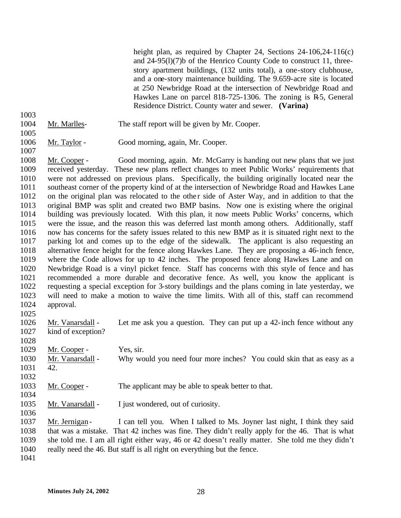height plan, as required by Chapter 24, Sections 24-106,24-116(c) and 24-95(l)(7)b of the Henrico County Code to construct 11, threestory apartment buildings, (132 units total), a one-story clubhouse, and a one-story maintenance building. The 9.659-acre site is located at 250 Newbridge Road at the intersection of Newbridge Road and Hawkes Lane on parcel 818-725-1306. The zoning is R-5, General Residence District. County water and sewer. **(Varina)**

- Mr. Marlles- The staff report will be given by Mr. Cooper.
- 

Mr. Taylor - Good morning, again, Mr. Cooper.

 Mr. Cooper - Good morning, again. Mr. McGarry is handing out new plans that we just received yesterday. These new plans reflect changes to meet Public Works' requirements that were not addressed on previous plans. Specifically, the building originally located near the southeast corner of the property kind of at the intersection of Newbridge Road and Hawkes Lane 1012 on the original plan was relocated to the other side of Aster Way, and in addition to that the original BMP was split and created two BMP basins. Now one is existing where the original building was previously located. With this plan, it now meets Public Works' concerns, which were the issue, and the reason this was deferred last month among others. Additionally, staff now has concerns for the safety issues related to this new BMP as it is situated right next to the parking lot and comes up to the edge of the sidewalk. The applicant is also requesting an alternative fence height for the fence along Hawkes Lane. They are proposing a 46-inch fence, where the Code allows for up to 42 inches. The proposed fence along Hawkes Lane and on Newbridge Road is a vinyl picket fence. Staff has concerns with this style of fence and has recommended a more durable and decorative fence. As well, you know the applicant is requesting a special exception for 3-story buildings and the plans coming in late yesterday, we will need to make a motion to waive the time limits. With all of this, staff can recommend approval.

 Mr. Vanarsdall - Let me ask you a question. They can put up a 42-inch fence without any kind of exception?

1029 Mr. Cooper - Yes, sir. 1030 Mr. Vanarsdall - Why would you need four more inches? You could skin that as easy as a 42. 

- Mr. Cooper The applicant may be able to speak better to that.
- Mr. Vanarsdall I just wondered, out of curiosity.

1037 Mr. Jernigan - I can tell you. When I talked to Ms. Joyner last night, I think they said that was a mistake. That 42 inches was fine. They didn't really apply for the 46. That is what she told me. I am all right either way, 46 or 42 doesn't really matter. She told me they didn't really need the 46. But staff is all right on everything but the fence.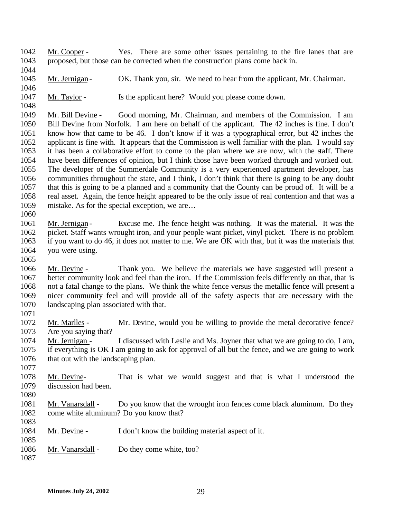Mr. Cooper - Yes. There are some other issues pertaining to the fire lanes that are proposed, but those can be corrected when the construction plans come back in. 

- 1045 Mr. Jernigan OK. Thank you, sir. We need to hear from the applicant, Mr. Chairman.
- 

1047 Mr. Taylor - Is the applicant here? Would you please come down.

 Mr. Bill Devine - Good morning, Mr. Chairman, and members of the Commission. I am Bill Devine from Norfolk. I am here on behalf of the applicant. The 42 inches is fine. I don't know how that came to be 46. I don't know if it was a typographical error, but 42 inches the applicant is fine with. It appears that the Commission is well familiar with the plan. I would say it has been a collaborative effort to come to the plan where we are now, with the staff. There have been differences of opinion, but I think those have been worked through and worked out. The developer of the Summerdale Community is a very experienced apartment developer, has communities throughout the state, and I think, I don't think that there is going to be any doubt that this is going to be a planned and a community that the County can be proud of. It will be a real asset. Again, the fence height appeared to be the only issue of real contention and that was a mistake. As for the special exception, we are…

## Mr. Jernigan - Excuse me. The fence height was nothing. It was the material. It was the picket. Staff wants wrought iron, and your people want picket, vinyl picket. There is no problem if you want to do 46, it does not matter to me. We are OK with that, but it was the materials that you were using.

 Mr. Devine - Thank you. We believe the materials we have suggested will present a better community look and feel than the iron. If the Commission feels differently on that, that is not a fatal change to the plans. We think the white fence versus the metallic fence will present a nicer community feel and will provide all of the safety aspects that are necessary with the landscaping plan associated with that.

 Mr. Marlles - Mr. Devine, would you be willing to provide the metal decorative fence? Are you saying that?

- Mr. Jernigan I discussed with Leslie and Ms. Joyner that what we are going to do, I am, if everything is OK I am going to ask for approval of all but the fence, and we are going to work that out with the landscaping plan.
- Mr. Devine- That is what we would suggest and that is what I understood the discussion had been.
- 

1081 Mr. Vanarsdall - Do you know that the wrought iron fences come black aluminum. Do they 1082 come white aluminum? Do you know that? come white aluminum? Do you know that? 

- 1084 Mr. Devine I don't know the building material aspect of it.
- Mr. Vanarsdall Do they come white, too?
-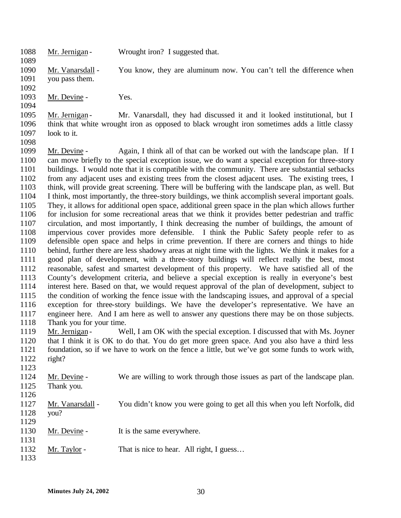- 1088 Mr. Jernigan Wrought iron? I suggested that.
- Mr. Vanarsdall You know, they are aluminum now. You can't tell the difference when you pass them.
- 1093 Mr. Devine - Yes.

- 
- 1095 Mr. Jernigan Mr. Vanarsdall, they had discussed it and it looked institutional, but I think that white wrought iron as opposed to black wrought iron sometimes adds a little classy 1097 look to it.
- Mr. Devine - Again, I think all of that can be worked out with the landscape plan. If I can move briefly to the special exception issue, we do want a special exception for three-story buildings. I would note that it is compatible with the community. There are substantial setbacks from any adjacent uses and existing trees from the closest adjacent uses. The existing trees, I think, will provide great screening. There will be buffering with the landscape plan, as well. But I think, most importantly, the three-story buildings, we think accomplish several important goals. They, it allows for additional open space, additional green space in the plan which allows further for inclusion for some recreational areas that we think it provides better pedestrian and traffic circulation, and most importantly, I think decreasing the number of buildings, the amount of impervious cover provides more defensible. I think the Public Safety people refer to as defensible open space and helps in crime prevention. If there are corners and things to hide behind, further there are less shadowy areas at night time with the lights. We think it makes for a good plan of development, with a three-story buildings will reflect really the best, most reasonable, safest and smartest development of this property. We have satisfied all of the County's development criteria, and believe a special exception is really in everyone's best interest here. Based on that, we would request approval of the plan of development, subject to the condition of working the fence issue with the landscaping issues, and approval of a special exception for three-story buildings. We have the developer's representative. We have an engineer here. And I am here as well to answer any questions there may be on those subjects. 1118 Thank you for your time.<br>1119 Mr. Jernigan - We
- 1119 Mr. Jernigan Well, I am OK with the special exception. I discussed that with Ms. Joyner that I think it is OK to do that. You do get more green space. And you also have a third less foundation, so if we have to work on the fence a little, but we've got some funds to work with, right?
- Mr. Devine - We are willing to work through those issues as part of the landscape plan. Thank you.
- 
- Mr. Vanarsdall You didn't know you were going to get all this when you left Norfolk, did you?
- 1130 Mr. Devine It is the same everywhere.
- 1132 Mr. Taylor That is nice to hear. All right, I guess...
-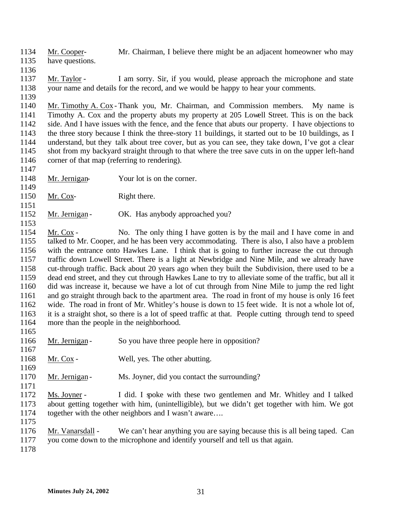- Mr. Cooper- Mr. Chairman, I believe there might be an adjacent homeowner who may
- have questions.
- 

 Mr. Taylor - I am sorry. Sir, if you would, please approach the microphone and state your name and details for the record, and we would be happy to hear your comments.

 Mr. Timothy A. Cox - Thank you, Mr. Chairman, and Commission members. My name is Timothy A. Cox and the property abuts my property at 205 Lowell Street. This is on the back side. And I have issues with the fence, and the fence that abuts our property. I have objections to 1143 the three story because I think the three-story 11 buildings, it started out to be 10 buildings, as I<br>1144 understand, but they talk about tree cover, but as you can see, they take down, I've got a clear understand, but they talk about tree cover, but as you can see, they take down, I've got a clear shot from my backyard straight through to that where the tree save cuts in on the upper left-hand corner of that map (referring to rendering).

- Mr. Jernigan- Your lot is on the corner.
- Mr. Cox- Right there.
- 1152 Mr. Jernigan OK. Has anybody approached you?

 Mr. Cox - No. The only thing I have gotten is by the mail and I have come in and talked to Mr. Cooper, and he has been very accommodating. There is also, I also have a problem with the entrance onto Hawkes Lane. I think that is going to further increase the cut through traffic down Lowell Street. There is a light at Newbridge and Nine Mile, and we already have cut-through traffic. Back about 20 years ago when they built the Subdivision, there used to be a dead end street, and they cut through Hawkes Lane to try to alleviate some of the traffic, but all it did was increase it, because we have a lot of cut through from Nine Mile to jump the red light and go straight through back to the apartment area. The road in front of my house is only 16 feet wide. The road in front of Mr. Whitley's house is down to 15 feet wide. It is not a whole lot of, it is a straight shot, so there is a lot of speed traffic at that. People cutting through tend to speed more than the people in the neighborhood. 

- 1166 Mr. Jernigan So you have three people here in opposition?
- 1168 Mr. Cox Well, yes. The other abutting.
- 1170 Mr. Jernigan Ms. Joyner, did you contact the surrounding?
- Ms. Joyner I did. I spoke with these two gentlemen and Mr. Whitley and I talked about getting together with him, (unintelligible), but we didn't get together with him. We got 1174 together with the other neighbors and I wasn't aware....
- 

- Mr. Vanarsdall We can't hear anything you are saying because this is all being taped. Can you come down to the microphone and identify yourself and tell us that again.
-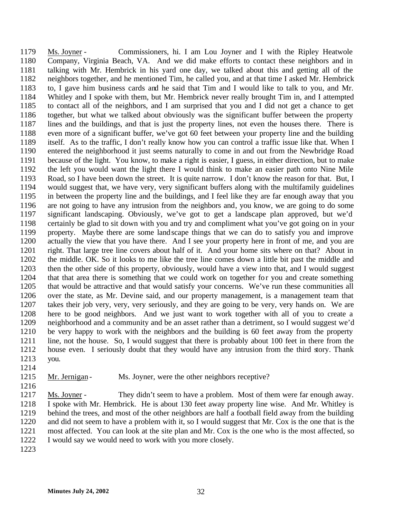Ms. Joyner - Commissioners, hi. I am Lou Joyner and I with the Ripley Heatwole Company, Virginia Beach, VA. And we did make efforts to contact these neighbors and in talking with Mr. Hembrick in his yard one day, we talked about this and getting all of the neighbors together, and he mentioned Tim, he called you, and at that time I asked Mr. Hembrick to, I gave him business cards and he said that Tim and I would like to talk to you, and Mr. Whitley and I spoke with them, but Mr. Hembrick never really brought Tim in, and I attempted to contact all of the neighbors, and I am surprised that you and I did not get a chance to get together, but what we talked about obviously was the significant buffer between the property lines and the buildings, and that is just the property lines, not even the houses there. There is even more of a significant buffer, we've got 60 feet between your property line and the building itself. As to the traffic, I don't really know how you can control a traffic issue like that. When I entered the neighborhood it just seems naturally to come in and out from the Newbridge Road because of the light. You know, to make a right is easier, I guess, in either direction, but to make the left you would want the light there I would think to make an easier path onto Nine Mile Road, so I have been down the street. It is quite narrow. I don't know the reason for that. But, I would suggest that, we have very, very significant buffers along with the multifamily guidelines in between the property line and the buildings, and I feel like they are far enough away that you are not going to have any intrusion from the neighbors and, you know, we are going to do some significant landscaping. Obviously, we've got to get a landscape plan approved, but we'd certainly be glad to sit down with you and try and compliment what you've got going on in your property. Maybe there are some landscape things that we can do to satisfy you and improve actually the view that you have there. And I see your property here in front of me, and you are right. That large tree line covers about half of it. And your home sits where on that? About in the middle. OK. So it looks to me like the tree line comes down a little bit past the middle and then the other side of this property, obviously, would have a view into that, and I would suggest that that area there is something that we could work on together for you and create something that would be attractive and that would satisfy your concerns. We've run these communities all over the state, as Mr. Devine said, and our property management, is a management team that takes their job very, very, very seriously, and they are going to be very, very hands on. We are here to be good neighbors. And we just want to work together with all of you to create a neighborhood and a community and be an asset rather than a detriment, so I would suggest we'd be very happy to work with the neighbors and the building is 60 feet away from the property line, not the house. So, I would suggest that there is probably about 100 feet in there from the house even. I seriously doubt that they would have any intrusion from the third story. Thank you.

#### 1215 Mr. Jernigan - Ms. Joyner, were the other neighbors receptive?

1217 Ms. Joyner - They didn't seem to have a problem. Most of them were far enough away. I spoke with Mr. Hembrick. He is about 130 feet away property line wise. And Mr. Whitley is behind the trees, and most of the other neighbors are half a football field away from the building and did not seem to have a problem with it, so I would suggest that Mr. Cox is the one that is the most affected. You can look at the site plan and Mr. Cox is the one who is the most affected, so I would say we would need to work with you more closely.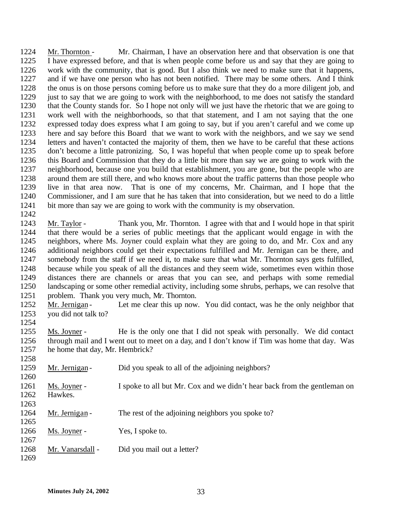Mr. Thornton - Mr. Chairman, I have an observation here and that observation is one that I have expressed before, and that is when people come before us and say that they are going to work with the community, that is good. But I also think we need to make sure that it happens, and if we have one person who has not been notified. There may be some others. And I think the onus is on those persons coming before us to make sure that they do a more diligent job, and just to say that we are going to work with the neighborhood, to me does not satisfy the standard that the County stands for. So I hope not only will we just have the rhetoric that we are going to work well with the neighborhoods, so that that statement, and I am not saying that the one expressed today does express what I am going to say, but if you aren't careful and we come up here and say before this Board that we want to work with the neighbors, and we say we send letters and haven't contacted the majority of them, then we have to be careful that these actions don't become a little patronizing. So, I was hopeful that when people come up to speak before this Board and Commission that they do a little bit more than say we are going to work with the neighborhood, because one you build that establishment, you are gone, but the people who are around them are still there, and who knows more about the traffic patterns than those people who live in that area now. That is one of my concerns, Mr. Chairman, and I hope that the Commissioner, and I am sure that he has taken that into consideration, but we need to do a little bit more than say we are going to work with the community is my observation. 

 Mr. Taylor - Thank you, Mr. Thornton. I agree with that and I would hope in that spirit that there would be a series of public meetings that the applicant would engage in with the neighbors, where Ms. Joyner could explain what they are going to do, and Mr. Cox and any additional neighbors could get their expectations fulfilled and Mr. Jernigan can be there, and somebody from the staff if we need it, to make sure that what Mr. Thornton says gets fulfilled, because while you speak of all the distances and they seem wide, sometimes even within those distances there are channels or areas that you can see, and perhaps with some remedial landscaping or some other remedial activity, including some shrubs, perhaps, we can resolve that problem. Thank you very much, Mr. Thornton.

1252 Mr. Jernigan - Let me clear this up now. You did contact, was he the only neighbor that you did not talk to?

1254<br>1255 Ms. Joyner - He is the only one that I did not speak with personally. We did contact through mail and I went out to meet on a day, and I don't know if Tim was home that day. Was he home that day, Mr. Hembrick?

| 1258 |                  |                                                                          |
|------|------------------|--------------------------------------------------------------------------|
| 1259 | Mr. Jernigan -   | Did you speak to all of the adjoining neighbors?                         |
| 1260 |                  |                                                                          |
| 1261 | Ms. Joyner -     | I spoke to all but Mr. Cox and we didn't hear back from the gentleman on |
| 1262 | Hawkes.          |                                                                          |
| 1263 |                  |                                                                          |
| 1264 | Mr. Jernigan -   | The rest of the adjoining neighbors you spoke to?                        |
| 1265 |                  |                                                                          |
| 1266 | Ms. Joyner -     | Yes, I spoke to.                                                         |
| 1267 |                  |                                                                          |
| 1268 | Mr. Vanarsdall - | Did you mail out a letter?                                               |
| 1269 |                  |                                                                          |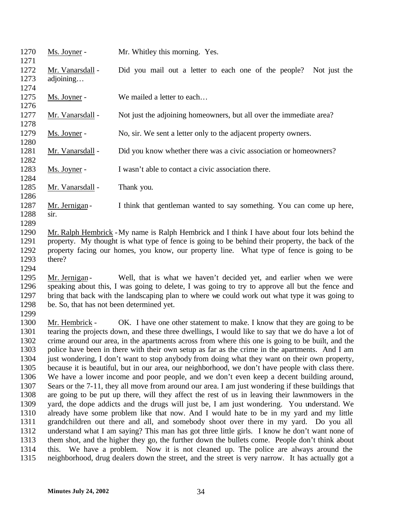| 1270<br>1271                                                                                                                 | Ms. Joyner -                                                | Mr. Whitley this morning. Yes.                                                                                                                                                                                                                                                                                                                                                                                                                                                                                                                                                                                                                                                                                                                                                                                                                                                                                                                                                                                                                                                                                                                                                                                                                                                                                                                                                                                                                                                                                                                                                       |
|------------------------------------------------------------------------------------------------------------------------------|-------------------------------------------------------------|--------------------------------------------------------------------------------------------------------------------------------------------------------------------------------------------------------------------------------------------------------------------------------------------------------------------------------------------------------------------------------------------------------------------------------------------------------------------------------------------------------------------------------------------------------------------------------------------------------------------------------------------------------------------------------------------------------------------------------------------------------------------------------------------------------------------------------------------------------------------------------------------------------------------------------------------------------------------------------------------------------------------------------------------------------------------------------------------------------------------------------------------------------------------------------------------------------------------------------------------------------------------------------------------------------------------------------------------------------------------------------------------------------------------------------------------------------------------------------------------------------------------------------------------------------------------------------------|
| 1272<br>1273<br>1274                                                                                                         | Mr. Vanarsdall -<br>adjoining                               | Did you mail out a letter to each one of the people?<br>Not just the                                                                                                                                                                                                                                                                                                                                                                                                                                                                                                                                                                                                                                                                                                                                                                                                                                                                                                                                                                                                                                                                                                                                                                                                                                                                                                                                                                                                                                                                                                                 |
| 1275<br>1276                                                                                                                 | Ms. Joyner -                                                | We mailed a letter to each                                                                                                                                                                                                                                                                                                                                                                                                                                                                                                                                                                                                                                                                                                                                                                                                                                                                                                                                                                                                                                                                                                                                                                                                                                                                                                                                                                                                                                                                                                                                                           |
| 1277<br>1278                                                                                                                 | Mr. Vanarsdall -                                            | Not just the adjoining homeowners, but all over the immediate area?                                                                                                                                                                                                                                                                                                                                                                                                                                                                                                                                                                                                                                                                                                                                                                                                                                                                                                                                                                                                                                                                                                                                                                                                                                                                                                                                                                                                                                                                                                                  |
| 1279<br>1280                                                                                                                 | Ms. Joyner -                                                | No, sir. We sent a letter only to the adjacent property owners.                                                                                                                                                                                                                                                                                                                                                                                                                                                                                                                                                                                                                                                                                                                                                                                                                                                                                                                                                                                                                                                                                                                                                                                                                                                                                                                                                                                                                                                                                                                      |
| 1281<br>1282                                                                                                                 | Mr. Vanarsdall -                                            | Did you know whether there was a civic association or homeowners?                                                                                                                                                                                                                                                                                                                                                                                                                                                                                                                                                                                                                                                                                                                                                                                                                                                                                                                                                                                                                                                                                                                                                                                                                                                                                                                                                                                                                                                                                                                    |
| 1283<br>1284                                                                                                                 | Ms. Joyner -                                                | I wasn't able to contact a civic association there.                                                                                                                                                                                                                                                                                                                                                                                                                                                                                                                                                                                                                                                                                                                                                                                                                                                                                                                                                                                                                                                                                                                                                                                                                                                                                                                                                                                                                                                                                                                                  |
| 1285<br>1286                                                                                                                 | Mr. Vanarsdall -                                            | Thank you.                                                                                                                                                                                                                                                                                                                                                                                                                                                                                                                                                                                                                                                                                                                                                                                                                                                                                                                                                                                                                                                                                                                                                                                                                                                                                                                                                                                                                                                                                                                                                                           |
| 1287<br>1288<br>1289                                                                                                         | Mr. Jernigan-<br>sir.                                       | I think that gentleman wanted to say something. You can come up here,                                                                                                                                                                                                                                                                                                                                                                                                                                                                                                                                                                                                                                                                                                                                                                                                                                                                                                                                                                                                                                                                                                                                                                                                                                                                                                                                                                                                                                                                                                                |
| 1290<br>1291<br>1292<br>1293<br>1294                                                                                         | there?                                                      | Mr. Ralph Hembrick - My name is Ralph Hembrick and I think I have about four lots behind the<br>property. My thought is what type of fence is going to be behind their property, the back of the<br>property facing our homes, you know, our property line. What type of fence is going to be                                                                                                                                                                                                                                                                                                                                                                                                                                                                                                                                                                                                                                                                                                                                                                                                                                                                                                                                                                                                                                                                                                                                                                                                                                                                                        |
| 1295<br>1296<br>1297<br>1298<br>1299                                                                                         | Mr. Jernigan -<br>be. So, that has not been determined yet. | Well, that is what we haven't decided yet, and earlier when we were<br>speaking about this, I was going to delete, I was going to try to approve all but the fence and<br>bring that back with the landscaping plan to where we could work out what type it was going to                                                                                                                                                                                                                                                                                                                                                                                                                                                                                                                                                                                                                                                                                                                                                                                                                                                                                                                                                                                                                                                                                                                                                                                                                                                                                                             |
| 1300<br>1301<br>1302<br>1303<br>1304<br>1305<br>1306<br>1307<br>1308<br>1309<br>1310<br>1311<br>1312<br>1313<br>1314<br>1315 | Mr. Hembrick -                                              | OK. I have one other statement to make. I know that they are going to be<br>tearing the projects down, and these three dwellings, I would like to say that we do have a lot of<br>crime around our area, in the apartments across from where this one is going to be built, and the<br>police have been in there with their own setup as far as the crime in the apartments. And I am<br>just wondering, I don't want to stop anybody from doing what they want on their own property,<br>because it is beautiful, but in our area, our neighborhood, we don't have people with class there.<br>We have a lower income and poor people, and we don't even keep a decent building around,<br>Sears or the 7-11, they all move from around our area. I am just wondering if these buildings that<br>are going to be put up there, will they affect the rest of us in leaving their lawnmowers in the<br>yard, the dope addicts and the drugs will just be, I am just wondering. You understand. We<br>already have some problem like that now. And I would hate to be in my yard and my little<br>grandchildren out there and all, and somebody shoot over there in my yard. Do you all<br>understand what I am saying? This man has got three little girls. I know he don't want none of<br>them shot, and the higher they go, the further down the bullets come. People don't think about<br>this. We have a problem. Now it is not cleaned up. The police are always around the<br>neighborhood, drug dealers down the street, and the street is very narrow. It has actually got a |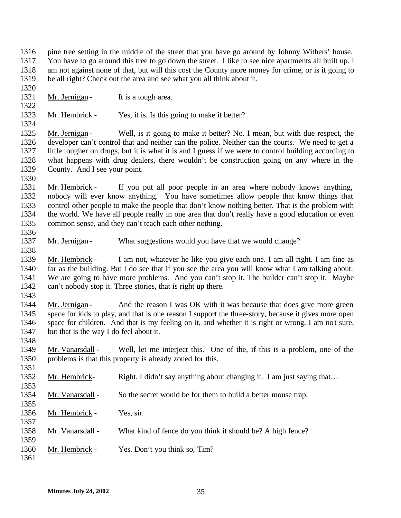- pine tree setting in the middle of the street that you have go around by Johnny Withers' house. You have to go around this tree to go down the street. I like to see nice apartments all built up. I am not against none of that, but will this cost the County more money for crime, or is it going to be all right? Check out the area and see what you all think about it.
- 

- 1321 Mr. Jernigan It is a tough area.
- Mr. Hembrick Yes, it is. Is this going to make it better?

1325 Mr. Jernigan - Well, is it going to make it better? No. I mean, but with due respect, the developer can't control that and neither can the police. Neither can the courts. We need to get a little tougher on drugs, but it is what it is and I guess if we were to control building according to what happens with drug dealers, there wouldn't be construction going on any where in the County. And I see your point.

 Mr. Hembrick - If you put all poor people in an area where nobody knows anything, nobody will ever know anything. You have sometimes allow people that know things that control other people to make the people that don't know nothing better. That is the problem with the world. We have all people really in one area that don't really have a good education or even common sense, and they can't teach each other nothing.

1337 Mr. Jernigan - What suggestions would you have that we would change?

 Mr. Hembrick - I am not, whatever he like you give each one. I am all right. I am fine as far as the building. But I do see that if you see the area you will know what I am talking about. We are going to have more problems. And you can't stop it. The builder can't stop it. Maybe can't nobody stop it. Three stories, that is right up there.

1344 Mr. Jernigan - And the reason I was OK with it was because that does give more green space for kids to play, and that is one reason I support the three-story, because it gives more open space for children. And that is my feeling on it, and whether it is right or wrong, I am not sure, but that is the way I do feel about it.

- Mr. Vanarsdall Well, let me interject this. One of the, if this is a problem, one of the problems is that this property is already zoned for this.
- 1352 Mr. Hembrick- Right. I didn't say anything about changing it. I am just saying that...
- 1354 Mr. Vanarsdall So the secret would be for them to build a better mouse trap.
- Mr. Hembrick Yes, sir.
- 1358 Mr. Vanarsdall What kind of fence do you think it should be? A high fence?
- Mr. Hembrick Yes. Don't you think so, Tim?
-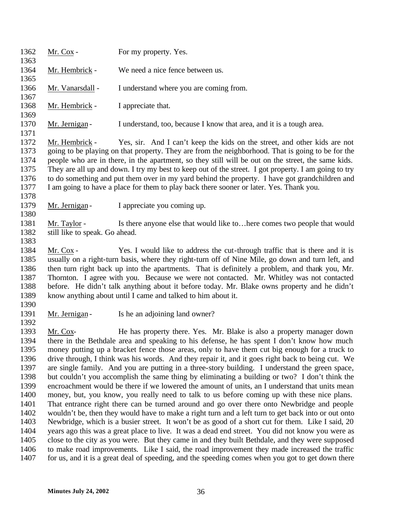| 1362<br>1363                                         | Mr. Cox -                                                                                                                                                                                                                                                                                              | For my property. Yes.                                                                                                                                                                                                                                                                                                                                                                                                                                                                                                                                                                     |  |
|------------------------------------------------------|--------------------------------------------------------------------------------------------------------------------------------------------------------------------------------------------------------------------------------------------------------------------------------------------------------|-------------------------------------------------------------------------------------------------------------------------------------------------------------------------------------------------------------------------------------------------------------------------------------------------------------------------------------------------------------------------------------------------------------------------------------------------------------------------------------------------------------------------------------------------------------------------------------------|--|
| 1364                                                 | Mr. Hembrick -                                                                                                                                                                                                                                                                                         | We need a nice fence between us.                                                                                                                                                                                                                                                                                                                                                                                                                                                                                                                                                          |  |
| 1365                                                 |                                                                                                                                                                                                                                                                                                        |                                                                                                                                                                                                                                                                                                                                                                                                                                                                                                                                                                                           |  |
| 1366                                                 | Mr. Vanarsdall -                                                                                                                                                                                                                                                                                       | I understand where you are coming from.                                                                                                                                                                                                                                                                                                                                                                                                                                                                                                                                                   |  |
| 1367                                                 |                                                                                                                                                                                                                                                                                                        |                                                                                                                                                                                                                                                                                                                                                                                                                                                                                                                                                                                           |  |
| 1368                                                 | Mr. Hembrick -                                                                                                                                                                                                                                                                                         | I appreciate that.                                                                                                                                                                                                                                                                                                                                                                                                                                                                                                                                                                        |  |
| 1369<br>1370                                         | Mr. Jernigan-                                                                                                                                                                                                                                                                                          | I understand, too, because I know that area, and it is a tough area.                                                                                                                                                                                                                                                                                                                                                                                                                                                                                                                      |  |
| 1371<br>1372<br>1373<br>1374<br>1375<br>1376<br>1377 | Mr. Hembrick -                                                                                                                                                                                                                                                                                         | Yes, sir. And I can't keep the kids on the street, and other kids are not<br>going to be playing on that property. They are from the neighborhood. That is going to be for the<br>people who are in there, in the apartment, so they still will be out on the street, the same kids.<br>They are all up and down. I try my best to keep out of the street. I got property. I am going to try<br>to do something and put them over in my yard behind the property. I have got grandchildren and<br>I am going to have a place for them to play back there sooner or later. Yes. Thank you. |  |
| 1378<br>1379                                         | Mr. Jernigan-                                                                                                                                                                                                                                                                                          | I appreciate you coming up.                                                                                                                                                                                                                                                                                                                                                                                                                                                                                                                                                               |  |
| 1380<br>1381<br>1382<br>1383                         | Mr. Taylor -<br>still like to speak. Go ahead.                                                                                                                                                                                                                                                         | Is there anyone else that would like to here comes two people that would                                                                                                                                                                                                                                                                                                                                                                                                                                                                                                                  |  |
| 1384<br>1385<br>1386<br>1387<br>1388<br>1389<br>1390 | Mr. Cox -                                                                                                                                                                                                                                                                                              | Yes. I would like to address the cut-through traffic that is there and it is<br>usually on a right-turn basis, where they right-turn off of Nine Mile, go down and turn left, and<br>then turn right back up into the apartments. That is definitely a problem, and thank you, Mr.<br>Thornton. I agree with you. Because we were not contacted. Mr. Whitley was not contacted<br>before. He didn't talk anything about it before today. Mr. Blake owns property and he didn't<br>know anything about until I came and talked to him about it.                                            |  |
| 1391                                                 | Mr. Jernigan-                                                                                                                                                                                                                                                                                          | Is he an adjoining land owner?                                                                                                                                                                                                                                                                                                                                                                                                                                                                                                                                                            |  |
| 1392<br>1393<br>1394                                 | Mr. Cox-                                                                                                                                                                                                                                                                                               | He has property there. Yes. Mr. Blake is also a property manager down<br>there in the Bethdale area and speaking to his defense, he has spent I don't know how much                                                                                                                                                                                                                                                                                                                                                                                                                       |  |
| 1395<br>1396<br>1397<br>1398                         | money putting up a bracket fence those areas, only to have them cut big enough for a truck to<br>drive through, I think was his words. And they repair it, and it goes right back to being cut. We<br>are single family. And you are putting in a three-story building. I understand the green space,  |                                                                                                                                                                                                                                                                                                                                                                                                                                                                                                                                                                                           |  |
| 1399<br>1400                                         | but couldn't you accomplish the same thing by eliminating a building or two? I don't think the<br>encroachment would be there if we lowered the amount of units, an I understand that units mean<br>money, but, you know, you really need to talk to us before coming up with these nice plans.        |                                                                                                                                                                                                                                                                                                                                                                                                                                                                                                                                                                                           |  |
| 1401<br>1402<br>1403                                 | That entrance right there can be turned around and go over there onto Newbridge and people<br>wouldn't be, then they would have to make a right turn and a left turn to get back into or out onto<br>Newbridge, which is a busier street. It won't be as good of a short cut for them. Like I said, 20 |                                                                                                                                                                                                                                                                                                                                                                                                                                                                                                                                                                                           |  |
| 1404<br>1405                                         |                                                                                                                                                                                                                                                                                                        | years ago this was a great place to live. It was a dead end street. You did not know you were as<br>close to the city as you were. But they came in and they built Bethdale, and they were supposed                                                                                                                                                                                                                                                                                                                                                                                       |  |
| 1406<br>1407                                         |                                                                                                                                                                                                                                                                                                        | to make road improvements. Like I said, the road improvement they made increased the traffic<br>for us, and it is a great deal of speeding, and the speeding comes when you got to get down there                                                                                                                                                                                                                                                                                                                                                                                         |  |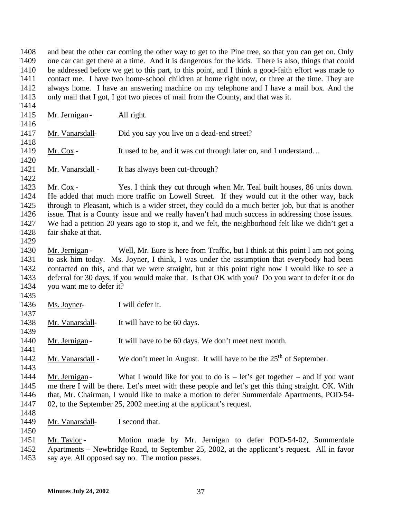and beat the other car coming the other way to get to the Pine tree, so that you can get on. Only one car can get there at a time. And it is dangerous for the kids. There is also, things that could be addressed before we get to this part, to this point, and I think a good-faith effort was made to contact me. I have two home-school children at home right now, or three at the time. They are always home. I have an answering machine on my telephone and I have a mail box. And the only mail that I got, I got two pieces of mail from the County, and that was it. 

- 1415 Mr. Jernigan All right. Mr. Vanarsdall- Did you say you live on a dead-end street? 1419 Mr. Cox - It used to be, and it was cut through later on, and I understand... 1421 Mr. Vanarsdall - It has always been cut-through? Mr. Cox - Yes. I think they cut through when Mr. Teal built houses, 86 units down. He added that much more traffic on Lowell Street. If they would cut it the other way, back through to Pleasant, which is a wider street, they could do a much better job, but that is another issue. That is a County issue and we really haven't had much success in addressing those issues. We had a petition 20 years ago to stop it, and we felt, the neighborhood felt like we didn't get a fair shake at that. Mr. Jernigan - Well, Mr. Eure is here from Traffic, but I think at this point I am not going to ask him today. Ms. Joyner, I think, I was under the assumption that everybody had been contacted on this, and that we were straight, but at this point right now I would like to see a deferral for 30 days, if you would make that. Is that OK with you? Do you want to defer it or do you want me to defer it?
- Ms. Joyner- I will defer it.

- 1438 Mr. Vanarsdall- It will have to be 60 days.
- 1440 Mr. Jernigan It will have to be 60 days. We don't meet next month.
- 1442 Mr. Vanarsdall We don't meet in August. It will have to be the  $25<sup>th</sup>$  of September.
- 1444 Mr. Jernigan What I would like for you to do is let's get together and if you want me there I will be there. Let's meet with these people and let's get this thing straight. OK. With that, Mr. Chairman, I would like to make a motion to defer Summerdale Apartments, POD-54- 02, to the September 25, 2002 meeting at the applicant's request.
- Mr. Vanarsdall- I second that.
- Mr. Taylor Motion made by Mr. Jernigan to defer POD-54-02, Summerdale Apartments – Newbridge Road, to September 25, 2002, at the applicant's request. All in favor say aye. All opposed say no. The motion passes.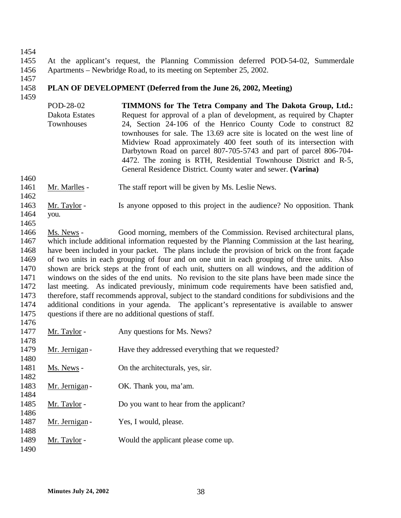1455 At the applicant's request, the Planning Commission deferred POD-54-02, Summerdale 1456 Apartments – Newbridge Road, to its meeting on September 25, 2002.

1457

## 1458 **PLAN OF DEVELOPMENT (Deferred from the June 26, 2002, Meeting)**

1459

POD-28-02 Dakota Estates **Townhouses TIMMONS for The Tetra Company and The Dakota Group, Ltd.:**  Request for approval of a plan of development, as required by Chapter 24, Section 24-106 of the Henrico County Code to construct 82 townhouses for sale. The 13.69 acre site is located on the west line of Midview Road approximately 400 feet south of its intersection with Darbytown Road on parcel 807-705-5743 and part of parcel 806-704- 4472. The zoning is RTH, Residential Townhouse District and R-5, General Residence District. County water and sewer. **(Varina)**

1460

- 1461 Mr. Marlles The staff report will be given by Ms. Leslie News.
- 1463 Mr. Taylor Is anyone opposed to this project in the audience? No opposition. Thank 1464 you.
- 1465 1466 Ms. News - Good morning, members of the Commission. Revised architectural plans, 1467 which include additional information requested by the Planning Commission at the last hearing, 1468 have been included in your packet. The plans include the provision of brick on the front façade 1469 of two units in each grouping of four and on one unit in each grouping of three units. Also 1470 shown are brick steps at the front of each unit, shutters on all windows, and the addition of 1471 windows on the sides of the end units. No revision to the site plans have been made since the 1472 last meeting. As indicated previously, minimum code requirements have been satisfied and, 1473 therefore, staff recommends approval, subject to the standard conditions for subdivisions and the 1474 additional conditions in your agenda. The applicant's representative is available to answer 1475 questions if there are no additional questions of staff.

| 1476 |               |                                                   |
|------|---------------|---------------------------------------------------|
| 1477 | Mr. Taylor -  | Any questions for Ms. News?                       |
| 1478 |               |                                                   |
| 1479 | Mr. Jernigan- | Have they addressed everything that we requested? |
| 1480 |               |                                                   |
| 1481 | Ms. News -    | On the architecturals, yes, sir.                  |
| 1482 |               |                                                   |
| 1483 | Mr. Jernigan- | OK. Thank you, ma'am.                             |
| 1484 |               |                                                   |
| 1485 | Mr. Taylor -  | Do you want to hear from the applicant?           |
| 1486 |               |                                                   |
| 1487 | Mr. Jernigan- | Yes, I would, please.                             |
| 1488 |               |                                                   |
| 1489 | Mr. Taylor -  | Would the applicant please come up.               |
| 1490 |               |                                                   |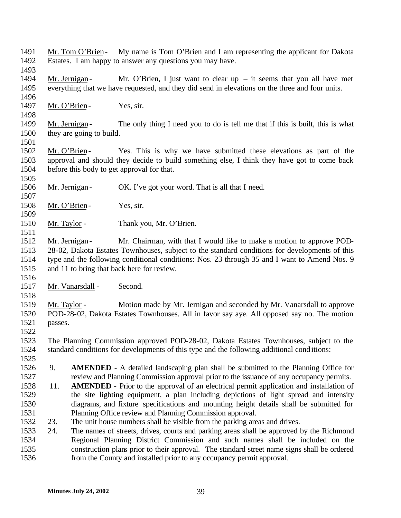- 1491 Mr. Tom O'Brien My name is Tom O'Brien and I am representing the applicant for Dakota Estates. I am happy to answer any questions you may have.
- 

- 1494 Mr. Jernigan Mr. O'Brien, I just want to clear up it seems that you all have met everything that we have requested, and they did send in elevations on the three and four units.
- 1497 Mr. O'Brien Yes, sir.
- 1499 Mr. Jernigan The only thing I need you to do is tell me that if this is built, this is what they are going to build.
- 

- 1502 Mr. O'Brien Yes. This is why we have submitted these elevations as part of the approval and should they decide to build something else, I think they have got to come back before this body to get approval for that.
- 1506 Mr. Jernigan OK. I've got your word. That is all that I need.
- 1508 Mr. O'Brien Yes, sir.
- 1510 Mr. Taylor Thank you, Mr. O'Brien.
- 1512 Mr. Jernigan Mr. Chairman, with that I would like to make a motion to approve POD- 28-02, Dakota Estates Townhouses, subject to the standard conditions for developments of this type and the following conditional conditions: Nos. 23 through 35 and I want to Amend Nos. 9 and 11 to bring that back here for review.
- 

- Mr. Vanarsdall Second.
- Mr. Taylor Motion made by Mr. Jernigan and seconded by Mr. Vanarsdall to approve POD-28-02, Dakota Estates Townhouses. All in favor say aye. All opposed say no. The motion passes.
- 

 The Planning Commission approved POD-28-02, Dakota Estates Townhouses, subject to the standard conditions for developments of this type and the following additional conditions: 

- 9. **AMENDED** A detailed landscaping plan shall be submitted to the Planning Office for review and Planning Commission approval prior to the issuance of any occupancy permits.
- 11. **AMENDED** Prior to the approval of an electrical permit application and installation of the site lighting equipment, a plan including depictions of light spread and intensity diagrams, and fixture specifications and mounting height details shall be submitted for Planning Office review and Planning Commission approval.
- 23. The unit house numbers shall be visible from the parking areas and drives.
- 24. The names of streets, drives, courts and parking areas shall be approved by the Richmond Regional Planning District Commission and such names shall be included on the construction plans prior to their approval. The standard street name signs shall be ordered from the County and installed prior to any occupancy permit approval.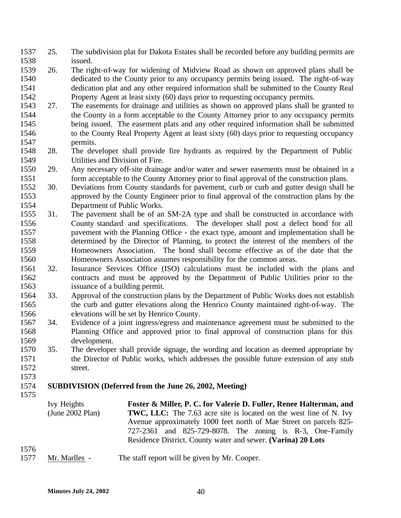- 25. The subdivision plat for Dakota Estates shall be recorded before any building permits are issued.
- 26. The right-of-way for widening of Midview Road as shown on approved plans shall be dedicated to the County prior to any occupancy permits being issued. The right-of-way dedication plat and any other required information shall be submitted to the County Real Property Agent at least sixty (60) days prior to requesting occupancy permits.
- 27. The easements for drainage and utilities as shown on approved plans shall be granted to the County in a form acceptable to the County Attorney prior to any occupancy permits being issued. The easement plats and any other required information shall be submitted to the County Real Property Agent at least sixty (60) days prior to requesting occupancy permits.
- 28. The developer shall provide fire hydrants as required by the Department of Public Utilities and Division of Fire.
- 29. Any necessary off-site drainage and/or water and sewer easements must be obtained in a form acceptable to the County Attorney prior to final approval of the construction plans.
- 30. Deviations from County standards for pavement, curb or curb and gutter design shall be approved by the County Engineer prior to final approval of the construction plans by the Department of Public Works.
- 31. The pavement shall be of an SM-2A type and shall be constructed in accordance with County standard and specifications. The developer shall post a defect bond for all pavement with the Planning Office - the exact type, amount and implementation shall be determined by the Director of Planning, to protect the interest of the members of the Homeowners Association. The bond shall become effective as of the date that the Homeowners Association assumes responsibility for the common areas.
- 32. Insurance Services Office (ISO) calculations must be included with the plans and contracts and must be approved by the Department of Public Utilities prior to the issuance of a building permit.
- 33. Approval of the construction plans by the Department of Public Works does not establish the curb and gutter elevations along the Henrico County maintained right-of-way. The elevations will be set by Henrico County.
- 34. Evidence of a joint ingress/egress and maintenance agreement must be submitted to the Planning Office and approved prior to final approval of construction plans for this development.
- 35. The developer shall provide signage, the wording and location as deemed appropriate by the Director of Public works, which addresses the possible future extension of any stub street.
- **SUBDIVISION (Deferred from the June 26, 2002, Meeting)**
- 

- Ivy Heights (June 2002 Plan) **Foster & Miller, P. C. for Valerie D. Fuller, Renee Halterman, and TWC, LLC:** The 7.63 acre site is located on the west line of N. Ivy Avenue approximately 1000 feet north of Mae Street on parcels 825- 727-2361 and 825-729-8078. The zoning is R-3, One-Family Residence District. County water and sewer. **(Varina) 20 Lots**
- 
- Mr. Marlles The staff report will be given by Mr. Cooper.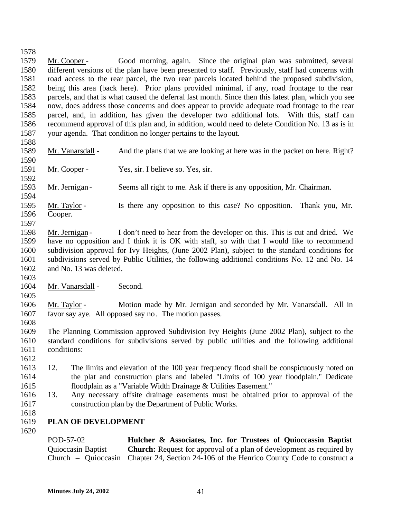Mr. Cooper - Good morning, again. Since the original plan was submitted, several different versions of the plan have been presented to staff. Previously, staff had concerns with road access to the rear parcel, the two rear parcels located behind the proposed subdivision, being this area (back here). Prior plans provided minimal, if any, road frontage to the rear parcels, and that is what caused the deferral last month. Since then this latest plan, which you see now, does address those concerns and does appear to provide adequate road frontage to the rear parcel, and, in addition, has given the developer two additional lots. With this, staff can recommend approval of this plan and, in addition, would need to delete Condition No. 13 as is in your agenda. That condition no longer pertains to the layout. 1589 Mr. Vanarsdall - And the plans that we are looking at here was in the packet on here. Right? Mr. Cooper - Yes, sir. I believe so. Yes, sir. Mr. Jernigan - Seems all right to me. Ask if there is any opposition, Mr. Chairman. Mr. Taylor - Is there any opposition to this case? No opposition. Thank you, Mr.

- Cooper.
- 

 Mr. Jernigan - I don't need to hear from the developer on this. This is cut and dried. We have no opposition and I think it is OK with staff, so with that I would like to recommend subdivision approval for Ivy Heights, (June 2002 Plan), subject to the standard conditions for subdivisions served by Public Utilities, the following additional conditions No. 12 and No. 14 and No. 13 was deleted.

1604 Mr. Vanarsdall - Second.

 Mr. Taylor - Motion made by Mr. Jernigan and seconded by Mr. Vanarsdall. All in favor say aye. All opposed say no. The motion passes. 

 The Planning Commission approved Subdivision Ivy Heights (June 2002 Plan), subject to the standard conditions for subdivisions served by public utilities and the following additional conditions:

 12. The limits and elevation of the 100 year frequency flood shall be conspicuously noted on the plat and construction plans and labeled "Limits of 100 year floodplain." Dedicate floodplain as a "Variable Width Drainage & Utilities Easement."

- 13. Any necessary offsite drainage easements must be obtained prior to approval of the construction plan by the Department of Public Works.
- 

**PLAN OF DEVELOPMENT** 

POD-57-02 Quioccasin Baptist Church – Quioccasin Chapter 24, Section 24-106 of the Henrico County Code to construct a **Hulcher & Associates, Inc. for Trustees of Quioccassin Baptist Church:** Request for approval of a plan of development as required by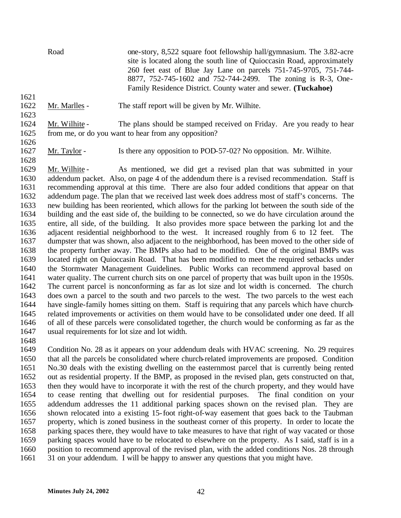Road one-story, 8,522 square foot fellowship hall/gymnasium. The 3.82-acre site is located along the south line of Quioccasin Road, approximately 260 feet east of Blue Jay Lane on parcels 751-745-9705, 751-744- 8877, 752-745-1602 and 752-744-2499. The zoning is R-3, One-Family Residence District. County water and sewer. **(Tuckahoe)**

Mr. Marlles - The staff report will be given by Mr. Wilhite.

 Mr. Wilhite - The plans should be stamped received on Friday. Are you ready to hear from me, or do you want to hear from any opposition?

Mr. Taylor - Is there any opposition to POD-57-02? No opposition. Mr. Wilhite.

 Mr. Wilhite - As mentioned, we did get a revised plan that was submitted in your addendum packet. Also, on page 4 of the addendum there is a revised recommendation. Staff is recommending approval at this time. There are also four added conditions that appear on that addendum page. The plan that we received last week does address most of staff's concerns. The new building has been reoriented, which allows for the parking lot between the south side of the building and the east side of, the building to be connected, so we do have circulation around the entire, all side, of the building. It also provides more space between the parking lot and the adjacent residential neighborhood to the west. It increased roughly from 6 to 12 feet. The dumpster that was shown, also adjacent to the neighborhood, has been moved to the other side of the property further away. The BMPs also had to be modified. One of the original BMPs was located right on Quioccasin Road. That has been modified to meet the required setbacks under the Stormwater Management Guidelines. Public Works can recommend approval based on water quality. The current church sits on one parcel of property that was built upon in the 1950s. The current parcel is nonconforming as far as lot size and lot width is concerned. The church does own a parcel to the south and two parcels to the west. The two parcels to the west each have single-family homes sitting on them. Staff is requiring that any parcels which have church- related improvements or activities on them would have to be consolidated under one deed. If all of all of these parcels were consolidated together, the church would be conforming as far as the usual requirements for lot size and lot width.

 Condition No. 28 as it appears on your addendum deals with HVAC screening. No. 29 requires that all the parcels be consolidated where church-related improvements are proposed. Condition No.30 deals with the existing dwelling on the easternmost parcel that is currently being rented out as residential property. If the BMP, as proposed in the revised plan, gets constructed on that, then they would have to incorporate it with the rest of the church property, and they would have to cease renting that dwelling out for residential purposes. The final condition on your addendum addresses the 11 additional parking spaces shown on the revised plan. They are shown relocated into a existing 15-foot right-of-way easement that goes back to the Taubman property, which is zoned business in the southeast corner of this property. In order to locate the parking spaces there, they would have to take measures to have that right of way vacated or those parking spaces would have to be relocated to elsewhere on the property. As I said, staff is in a position to recommend approval of the revised plan, with the added conditions Nos. 28 through 31 on your addendum. I will be happy to answer any questions that you might have.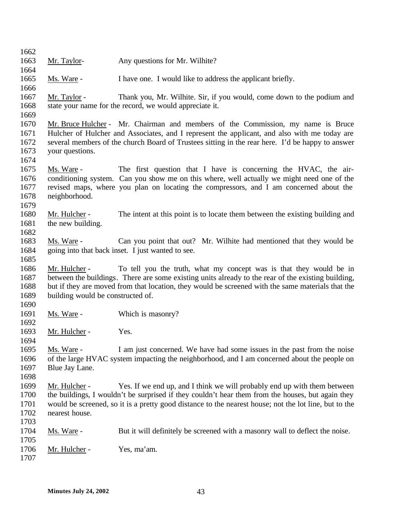| 1662         |                                   |                                                                                                       |
|--------------|-----------------------------------|-------------------------------------------------------------------------------------------------------|
| 1663         | Mr. Taylor-                       | Any questions for Mr. Wilhite?                                                                        |
| 1664         |                                   |                                                                                                       |
| 1665         | Ms. Ware -                        | I have one. I would like to address the applicant briefly.                                            |
| 1666         |                                   |                                                                                                       |
| 1667         | Mr. Taylor -                      | Thank you, Mr. Wilhite. Sir, if you would, come down to the podium and                                |
| 1668         |                                   | state your name for the record, we would appreciate it.                                               |
| 1669         |                                   |                                                                                                       |
| 1670         |                                   | Mr. Bruce Hulcher - Mr. Chairman and members of the Commission, my name is Bruce                      |
| 1671         |                                   | Hulcher of Hulcher and Associates, and I represent the applicant, and also with me today are          |
| 1672         |                                   | several members of the church Board of Trustees sitting in the rear here. I'd be happy to answer      |
| 1673         | your questions.                   |                                                                                                       |
| 1674         |                                   |                                                                                                       |
| 1675         | Ms. Ware -                        | The first question that I have is concerning the HVAC, the air-                                       |
| 1676         |                                   | conditioning system. Can you show me on this where, well actually we might need one of the            |
| 1677         |                                   | revised maps, where you plan on locating the compressors, and I am concerned about the                |
| 1678         | neighborhood.                     |                                                                                                       |
| 1679         |                                   |                                                                                                       |
| 1680         | Mr. Hulcher -                     | The intent at this point is to locate them between the existing building and                          |
| 1681         | the new building.                 |                                                                                                       |
| 1682         |                                   |                                                                                                       |
| 1683         | Ms. Ware -                        | Can you point that out? Mr. Wilhite had mentioned that they would be                                  |
| 1684         |                                   | going into that back inset. I just wanted to see.                                                     |
| 1685<br>1686 |                                   | To tell you the truth, what my concept was is that they would be in                                   |
| 1687         | Mr. Hulcher -                     | between the buildings. There are some existing units already to the rear of the existing building,    |
| 1688         |                                   | but if they are moved from that location, they would be screened with the same materials that the     |
| 1689         | building would be constructed of. |                                                                                                       |
| 1690         |                                   |                                                                                                       |
| 1691         | Ms. Ware -                        | Which is masonry?                                                                                     |
| 1692         |                                   |                                                                                                       |
| 1693         | Mr. Hulcher -                     | Yes.                                                                                                  |
| 1694         |                                   |                                                                                                       |
| 1695         | Ms. Ware -                        | I am just concerned. We have had some issues in the past from the noise                               |
| 1696         |                                   | of the large HVAC system impacting the neighborhood, and I am concerned about the people on           |
| 1697         | Blue Jay Lane.                    |                                                                                                       |
| 1698         |                                   |                                                                                                       |
| 1699         | Mr. Hulcher -                     | Yes. If we end up, and I think we will probably end up with them between                              |
| 1700         |                                   | the buildings, I wouldn't be surprised if they couldn't hear them from the houses, but again they     |
| 1701         |                                   | would be screened, so it is a pretty good distance to the nearest house; not the lot line, but to the |
| 1702         | nearest house.                    |                                                                                                       |
| 1703         |                                   |                                                                                                       |
| 1704         | Ms. Ware -                        | But it will definitely be screened with a masonry wall to deflect the noise.                          |
| 1705         |                                   |                                                                                                       |
| 1706         | Mr. Hulcher -                     | Yes, ma'am.                                                                                           |
| 1707         |                                   |                                                                                                       |
|              |                                   |                                                                                                       |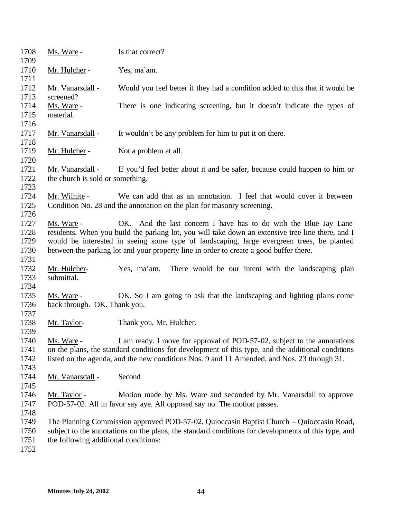| 1708<br>1709                         | Ms. Ware -                                           | Is that correct?                                                                                                                                                                                                                                                                                                                                             |
|--------------------------------------|------------------------------------------------------|--------------------------------------------------------------------------------------------------------------------------------------------------------------------------------------------------------------------------------------------------------------------------------------------------------------------------------------------------------------|
| 1710<br>1711                         | Mr. Hulcher -                                        | Yes, ma'am.                                                                                                                                                                                                                                                                                                                                                  |
| 1712<br>1713                         | Mr. Vanarsdall -<br>screened?                        | Would you feel better if they had a condition added to this that it would be                                                                                                                                                                                                                                                                                 |
| 1714<br>1715                         | Ms. Ware -<br>material.                              | There is one indicating screening, but it doesn't indicate the types of                                                                                                                                                                                                                                                                                      |
| 1716<br>1717                         | Mr. Vanarsdall -                                     | It wouldn't be any problem for him to put it on there.                                                                                                                                                                                                                                                                                                       |
| 1718                                 |                                                      |                                                                                                                                                                                                                                                                                                                                                              |
| 1719<br>1720                         | Mr. Hulcher -                                        | Not a problem at all.                                                                                                                                                                                                                                                                                                                                        |
| 1721<br>1722                         | Mr. Vanarsdall -<br>the church is sold or something. | If you'd feel better about it and be safer, because could happen to him or                                                                                                                                                                                                                                                                                   |
| 1723<br>1724                         | Mr. Wilhite -                                        | We can add that as an annotation. I feel that would cover it between                                                                                                                                                                                                                                                                                         |
| 1725<br>1726                         |                                                      | Condition No. 28 and the annotation on the plan for masonry screening.                                                                                                                                                                                                                                                                                       |
| 1727<br>1728<br>1729<br>1730<br>1731 | Ms. Ware -                                           | OK. And the last concern I have has to do with the Blue Jay Lane<br>residents. When you build the parking lot, you will take down an extensive tree line there, and I<br>would be interested in seeing some type of landscaping, large evergreen trees, be planted<br>between the parking lot and your property line in order to create a good buffer there. |
| 1732<br>1733<br>1734                 | Mr. Hulcher-<br>submittal.                           | There would be our intent with the landscaping plan<br>Yes, ma'am.                                                                                                                                                                                                                                                                                           |
| 1735<br>1736                         | Ms. Ware -<br>back through. OK. Thank you.           | OK. So I am going to ask that the landscaping and lighting plans come                                                                                                                                                                                                                                                                                        |
| 1737<br>1738<br>1739                 | Mr. Taylor-                                          | Thank you, Mr. Hulcher.                                                                                                                                                                                                                                                                                                                                      |
| 1740<br>1741<br>1742<br>1743         | Ms. Ware -                                           | I am ready. I move for approval of POD-57-02, subject to the annotations<br>on the plans, the standard conditions for development of this type, and the additional conditions<br>listed on the agenda, and the new conditions Nos. 9 and 11 Amended, and Nos. 23 through 31.                                                                                 |
| 1744<br>1745                         | Mr. Vanarsdall -                                     | Second                                                                                                                                                                                                                                                                                                                                                       |
| 1746<br>1747<br>1748                 | Mr. Taylor -                                         | Motion made by Ms. Ware and seconded by Mr. Vanarsdall to approve<br>POD-57-02. All in favor say aye. All opposed say no. The motion passes.                                                                                                                                                                                                                 |
| 1749<br>1750<br>1751<br>1752         | the following additional conditions:                 | The Planning Commission approved POD-57-02, Quioccasin Baptist Church – Quioccasin Road,<br>subject to the annotations on the plans, the standard conditions for developments of this type, and                                                                                                                                                              |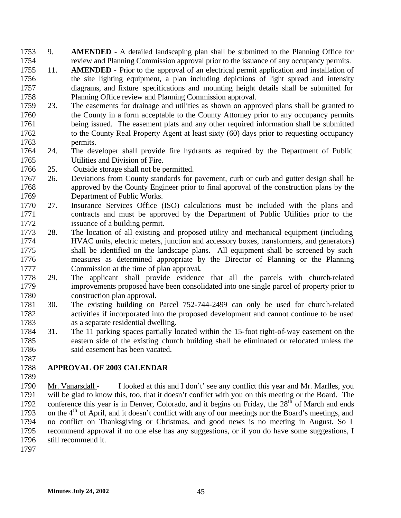- 9. **AMENDED** A detailed landscaping plan shall be submitted to the Planning Office for review and Planning Commission approval prior to the issuance of any occupancy permits.
- 11. **AMENDED** Prior to the approval of an electrical permit application and installation of the site lighting equipment, a plan including depictions of light spread and intensity diagrams, and fixture specifications and mounting height details shall be submitted for Planning Office review and Planning Commission approval.
- 23. The easements for drainage and utilities as shown on approved plans shall be granted to the County in a form acceptable to the County Attorney prior to any occupancy permits being issued. The easement plats and any other required information shall be submitted 1762 to the County Real Property Agent at least sixty (60) days prior to requesting occupancy permits.
- 24. The developer shall provide fire hydrants as required by the Department of Public Utilities and Division of Fire.
- 25. Outside storage shall not be permitted.
- 26. Deviations from County standards for pavement, curb or curb and gutter design shall be approved by the County Engineer prior to final approval of the construction plans by the Department of Public Works.
- 27. Insurance Services Office (ISO) calculations must be included with the plans and contracts and must be approved by the Department of Public Utilities prior to the issuance of a building permit.
- 28. The location of all existing and proposed utility and mechanical equipment (including HVAC units, electric meters, junction and accessory boxes, transformers, and generators) shall be identified on the landscape plans. All equipment shall be screened by such measures as determined appropriate by the Director of Planning or the Planning Commission at the time of plan approval**.**
- 29. The applicant shall provide evidence that all the parcels with church-related improvements proposed have been consolidated into one single parcel of property prior to construction plan approval.
- 30. The existing building on Parcel 752-744-2499 can only be used for church-related activities if incorporated into the proposed development and cannot continue to be used as a separate residential dwelling.
- 31. The 11 parking spaces partially located within the 15-foot right-of-way easement on the eastern side of the existing church building shall be eliminated or relocated unless the 1786 said easement has been vacated.
- **APPROVAL OF 2003 CALENDAR**
- 

 Mr. Vanarsdall - I looked at this and I don't' see any conflict this year and Mr. Marlles, you will be glad to know this, too, that it doesn't conflict with you on this meeting or the Board. The 1792 conference this year is in Denver, Colorado, and it begins on Friday, the  $28<sup>th</sup>$  of March and ends 1793 on the  $4<sup>th</sup>$  of April, and it doesn't conflict with any of our meetings nor the Board's meetings, and no conflict on Thanksgiving or Christmas, and good news is no meeting in August. So I recommend approval if no one else has any suggestions, or if you do have some suggestions, I still recommend it.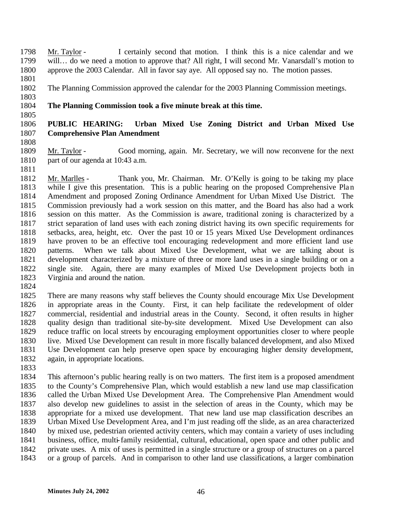Mr. Taylor - I certainly second that motion. I think this is a nice calendar and we will… do we need a motion to approve that? All right, I will second Mr. Vanarsdall's motion to approve the 2003 Calendar. All in favor say aye. All opposed say no. The motion passes.

The Planning Commission approved the calendar for the 2003 Planning Commission meetings.

- 
- 

# **The Planning Commission took a five minute break at this time.**

## **PUBLIC HEARING: Urban Mixed Use Zoning District and Urban Mixed Use Comprehensive Plan Amendment**

 Mr. Taylor - Good morning, again. Mr. Secretary, we will now reconvene for the next part of our agenda at 10:43 a.m.

 Mr. Marlles - Thank you, Mr. Chairman. Mr. O'Kelly is going to be taking my place while I give this presentation. This is a public hearing on the proposed Comprehensive Plan Amendment and proposed Zoning Ordinance Amendment for Urban Mixed Use District. The Commission previously had a work session on this matter, and the Board has also had a work session on this matter. As the Commission is aware, traditional zoning is characterized by a strict separation of land uses with each zoning district having its own specific requirements for setbacks, area, height, etc. Over the past 10 or 15 years Mixed Use Development ordinances have proven to be an effective tool encouraging redevelopment and more efficient land use patterns. When we talk about Mixed Use Development, what we are talking about is development characterized by a mixture of three or more land uses in a single building or on a single site. Again, there are many examples of Mixed Use Development projects both in Virginia and around the nation.

 There are many reasons why staff believes the County should encourage Mix Use Development in appropriate areas in the County. First, it can help facilitate the redevelopment of older commercial, residential and industrial areas in the County. Second, it often results in higher quality design than traditional site-by-site development. Mixed Use Development can also reduce traffic on local streets by encouraging employment opportunities closer to where people live. Mixed Use Development can result in more fiscally balanced development, and also Mixed Use Development can help preserve open space by encouraging higher density development, again, in appropriate locations.

 This afternoon's public hearing really is on two matters. The first item is a proposed amendment to the County's Comprehensive Plan, which would establish a new land use map classification called the Urban Mixed Use Development Area. The Comprehensive Plan Amendment would also develop new guidelines to assist in the selection of areas in the County, which may be appropriate for a mixed use development. That new land use map classification describes an Urban Mixed Use Development Area, and I'm just reading off the slide, as an area characterized by mixed use, pedestrian oriented activity centers, which may contain a variety of uses including business, office, multi-family residential, cultural, educational, open space and other public and private uses. A mix of uses is permitted in a single structure or a group of structures on a parcel or a group of parcels. And in comparison to other land use classifications, a larger combination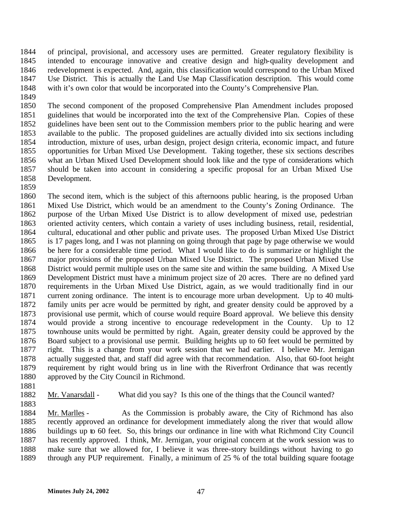of principal, provisional, and accessory uses are permitted. Greater regulatory flexibility is intended to encourage innovative and creative design and high-quality development and redevelopment is expected. And, again, this classification would correspond to the Urban Mixed Use District. This is actually the Land Use Map Classification description. This would come with it's own color that would be incorporated into the County's Comprehensive Plan.

 The second component of the proposed Comprehensive Plan Amendment includes proposed guidelines that would be incorporated into the text of the Comprehensive Plan. Copies of these guidelines have been sent out to the Commission members prior to the public hearing and were available to the public. The proposed guidelines are actually divided into six sections including introduction, mixture of uses, urban design, project design criteria, economic impact, and future opportunities for Urban Mixed Use Development. Taking together, these six sections describes what an Urban Mixed Used Development should look like and the type of considerations which should be taken into account in considering a specific proposal for an Urban Mixed Use Development.

 The second item, which is the subject of this afternoons public hearing, is the proposed Urban Mixed Use District, which would be an amendment to the County's Zoning Ordinance. The purpose of the Urban Mixed Use District is to allow development of mixed use, pedestrian oriented activity centers, which contain a variety of uses including business, retail, residential, cultural, educational and other public and private uses. The proposed Urban Mixed Use District is 17 pages long, and I was not planning on going through that page by page otherwise we would be here for a considerable time period. What I would like to do is summarize or highlight the major provisions of the proposed Urban Mixed Use District. The proposed Urban Mixed Use District would permit multiple uses on the same site and within the same building. A Mixed Use Development District must have a minimum project size of 20 acres. There are no defined yard requirements in the Urban Mixed Use District, again, as we would traditionally find in our current zoning ordinance. The intent is to encourage more urban development. Up to 40 multi- family units per acre would be permitted by right, and greater density could be approved by a provisional use permit, which of course would require Board approval. We believe this density would provide a strong incentive to encourage redevelopment in the County. Up to 12 townhouse units would be permitted by right. Again, greater density could be approved by the Board subject to a provisional use permit. Building heights up to 60 feet would be permitted by right. This is a change from your work session that we had earlier. I believe Mr. Jernigan actually suggested that, and staff did agree with that recommendation. Also, that 60-foot height requirement by right would bring us in line with the Riverfront Ordinance that was recently approved by the City Council in Richmond.

Mr. Vanarsdall - What did you say? Is this one of the things that the Council wanted?

 Mr. Marlles - As the Commission is probably aware, the City of Richmond has also recently approved an ordinance for development immediately along the river that would allow buildings up to 60 feet. So, this brings our ordinance in line with what Richmond City Council has recently approved. I think, Mr. Jernigan, your original concern at the work session was to make sure that we allowed for, I believe it was three-story buildings without having to go through any PUP requirement. Finally, a minimum of 25 % of the total building square footage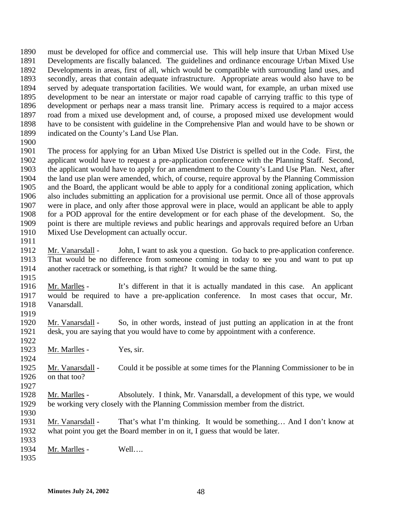must be developed for office and commercial use. This will help insure that Urban Mixed Use Developments are fiscally balanced. The guidelines and ordinance encourage Urban Mixed Use Developments in areas, first of all, which would be compatible with surrounding land uses, and secondly, areas that contain adequate infrastructure. Appropriate areas would also have to be served by adequate transportation facilities. We would want, for example, an urban mixed use development to be near an interstate or major road capable of carrying traffic to this type of development or perhaps near a mass transit line. Primary access is required to a major access road from a mixed use development and, of course, a proposed mixed use development would have to be consistent with guideline in the Comprehensive Plan and would have to be shown or indicated on the County's Land Use Plan.

 The process for applying for an Urban Mixed Use District is spelled out in the Code. First, the applicant would have to request a pre-application conference with the Planning Staff. Second, the applicant would have to apply for an amendment to the County's Land Use Plan. Next, after the land use plan were amended, which, of course, require approval by the Planning Commission and the Board, the applicant would be able to apply for a conditional zoning application, which also includes submitting an application for a provisional use permit. Once all of those approvals were in place, and only after those approval were in place, would an applicant be able to apply for a POD approval for the entire development or for each phase of the development. So, the point is there are multiple reviews and public hearings and approvals required before an Urban Mixed Use Development can actually occur.

- 
- Mr. Vanarsdall John, I want to ask you a question. Go back to pre-application conference. That would be no difference from someone coming in today to see you and want to put up another racetrack or something, is that right? It would be the same thing.
- Mr. Marlles It's different in that it is actually mandated in this case. An applicant would be required to have a pre-application conference. In most cases that occur, Mr. Vanarsdall.
- 

- Mr. Vanarsdall So, in other words, instead of just putting an application in at the front desk, you are saying that you would have to come by appointment with a conference.
- 1923 Mr. Marlles Yes, sir.
- Mr. Vanarsdall Could it be possible at some times for the Planning Commissioner to be in on that too?
- Mr. Marlles Absolutely. I think, Mr. Vanarsdall, a development of this type, we would be working very closely with the Planning Commission member from the district.
- 
- Mr. Vanarsdall That's what I'm thinking. It would be something… And I don't know at what point you get the Board member in on it, I guess that would be later.
- 1934 Mr. Marlles Well....
-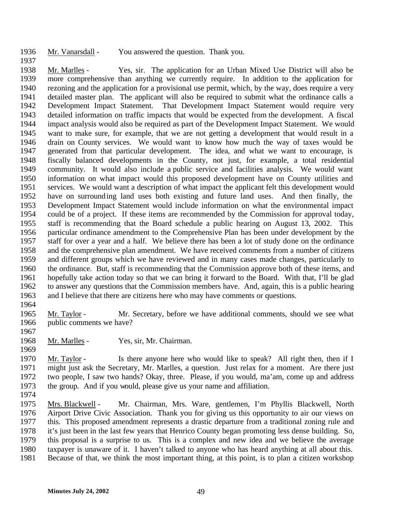Mr. Vanarsdall - You answered the question. Thank you.

 Mr. Marlles - Yes, sir. The application for an Urban Mixed Use District will also be more comprehensive than anything we currently require. In addition to the application for rezoning and the application for a provisional use permit, which, by the way, does require a very detailed master plan. The applicant will also be required to submit what the ordinance calls a Development Impact Statement. That Development Impact Statement would require very detailed information on traffic impacts that would be expected from the development. A fiscal impact analysis would also be required as part of the Development Impact Statement. We would want to make sure, for example, that we are not getting a development that would result in a drain on County services. We would want to know how much the way of taxes would be generated from that particular development. The idea, and what we want to encourage, is fiscally balanced developments in the County, not just, for example, a total residential community. It would also include a public service and facilities analysis. We would want information on what impact would this proposed development have on County utilities and services. We would want a description of what impact the applicant felt this development would have on surrounding land uses both existing and future land uses. And then finally, the Development Impact Statement would include information on what the environmental impact could be of a project. If these items are recommended by the Commission for approval today, staff is recommending that the Board schedule a public hearing on August 13, 2002. This particular ordinance amendment to the Comprehensive Plan has been under development by the staff for over a year and a half. We believe there has been a lot of study done on the ordinance and the comprehensive plan amendment. We have received comments from a number of citizens and different groups which we have reviewed and in many cases made changes, particularly to the ordinance. But, staff is recommending that the Commission approve both of these items, and hopefully take action today so that we can bring it forward to the Board. With that, I'll be glad to answer any questions that the Commission members have. And, again, this is a public hearing and I believe that there are citizens here who may have comments or questions.

 Mr. Taylor - Mr. Secretary, before we have additional comments, should we see what public comments we have?

Mr. Marlles - Yes, sir, Mr. Chairman.

 Mr. Taylor - Is there anyone here who would like to speak? All right then, then if I might just ask the Secretary, Mr. Marlles, a question. Just relax for a moment. Are there just two people, I saw two hands? Okay, three. Please, if you would, ma'am, come up and address the group. And if you would, please give us your name and affiliation.

 Mrs. Blackwell - Mr. Chairman, Mrs. Ware, gentlemen, I'm Phyllis Blackwell, North Airport Drive Civic Association. Thank you for giving us this opportunity to air our views on this. This proposed amendment represents a drastic departure from a traditional zoning rule and it's just been in the last few years that Henrico County began promoting less dense building. So, this proposal is a surprise to us. This is a complex and new idea and we believe the average taxpayer is unaware of it. I haven't talked to anyone who has heard anything at all about this. Because of that, we think the most important thing, at this point, is to plan a citizen workshop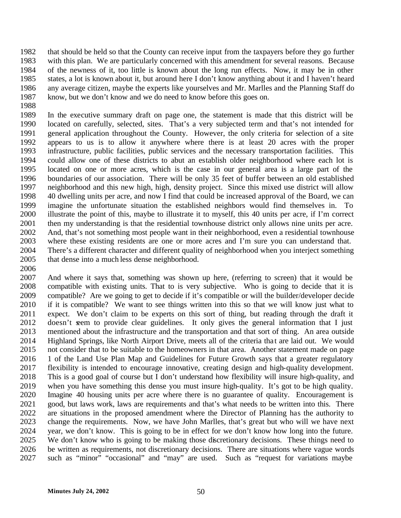that should be held so that the County can receive input from the taxpayers before they go further with this plan. We are particularly concerned with this amendment for several reasons. Because of the newness of it, too little is known about the long run effects. Now, it may be in other states, a lot is known about it, but around here I don't know anything about it and I haven't heard any average citizen, maybe the experts like yourselves and Mr. Marlles and the Planning Staff do know, but we don't know and we do need to know before this goes on.

 In the executive summary draft on page one, the statement is made that this district will be located on carefully, selected, sites. That's a very subjected term and that's not intended for general application throughout the County. However, the only criteria for selection of a site appears to us is to allow it anywhere where there is at least 20 acres with the proper infrastructure, public facilities, public services and the necessary transportation facilities. This could allow one of these districts to abut an establish older neighborhood where each lot is located on one or more acres, which is the case in our general area is a large part of the boundaries of our association. There will be only 35 feet of buffer between an old established neighborhood and this new high, high, density project. Since this mixed use district will allow 40 dwelling units per acre, and now I find that could be increased approval of the Board, we can imagine the unfortunate situation the established neighbors would find themselves in. To illustrate the point of this, maybe to illustrate it to myself, this 40 units per acre, if I'm correct then my understanding is that the residential townhouse district only allows nine units per acre. And, that's not something most people want in their neighborhood, even a residential townhouse where these existing residents are one or more acres and I'm sure you can understand that. There's a different character and different quality of neighborhood when you interject something that dense into a much less dense neighborhood.

 And where it says that, something was shown up here, (referring to screen) that it would be compatible with existing units. That to is very subjective. Who is going to decide that it is compatible? Are we going to get to decide if it's compatible or will the builder/developer decide if it is compatible? We want to see things written into this so that we will know just what to expect. We don't claim to be experts on this sort of thing, but reading through the draft it 2012 doesn't seem to provide clear guidelines. It only gives the general information that I just mentioned about the infrastructure and the transportation and that sort of thing. An area outside 2014 Highland Springs, like North Airport Drive, meets all of the criteria that are laid out. We would not consider that to be suitable to the homeowners in that area. Another statement made on page 1 of the Land Use Plan Map and Guidelines for Future Growth says that a greater regulatory flexibility is intended to encourage innovative, creating design and high-quality development. This is a good goal of course but I don't understand how flexibility will insure high-quality, and when you have something this dense you must insure high-quality. It's got to be high quality. Imagine 40 housing units per acre where there is no guarantee of quality. Encouragement is good, but laws work, laws are requirements and that's what needs to be written into this. There are situations in the proposed amendment where the Director of Planning has the authority to change the requirements. Now, we have John Marlles, that's great but who will we have next year, we don't know. This is going to be in effect for we don't know how long into the future. We don't know who is going to be making those discretionary decisions. These things need to be written as requirements, not discretionary decisions. There are situations where vague words such as "minor" "occasional" and "may" are used. Such as "request for variations maybe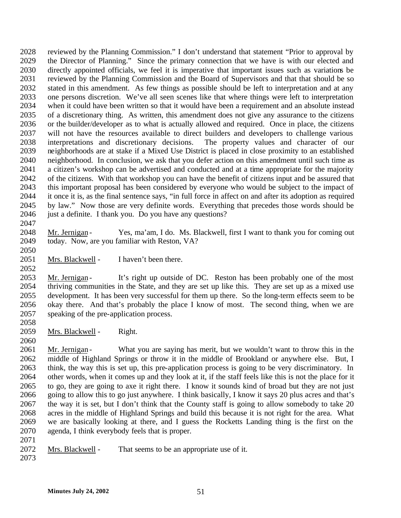reviewed by the Planning Commission." I don't understand that statement "Prior to approval by the Director of Planning." Since the primary connection that we have is with our elected and directly appointed officials, we feel it is imperative that important issues such as variations be reviewed by the Planning Commission and the Board of Supervisors and that that should be so stated in this amendment. As few things as possible should be left to interpretation and at any one persons discretion. We've all seen scenes like that where things were left to interpretation when it could have been written so that it would have been a requirement and an absolute instead of a discretionary thing. As written, this amendment does not give any assurance to the citizens or the builder/developer as to what is actually allowed and required. Once in place, the citizens will not have the resources available to direct builders and developers to challenge various interpretations and discretionary decisions. The property values and character of our neighborhoods are at stake if a Mixed Use District is placed in close proximity to an established neighborhood. In conclusion, we ask that you defer action on this amendment until such time as a citizen's workshop can be advertised and conducted and at a time appropriate for the majority of the citizens. With that workshop you can have the benefit of citizens input and be assured that this important proposal has been considered by everyone who would be subject to the impact of it once it is, as the final sentence says, "in full force in affect on and after its adoption as required by law." Now those are very definite words. Everything that precedes those words should be 2046 just a definite. I thank you. Do you have any questions? 

- Mr. Jernigan Yes, ma'am, I do. Ms. Blackwell, first I want to thank you for coming out today. Now, are you familiar with Reston, VA?
- 2051 Mrs. Blackwell I haven't been there.

2053 Mr. Jernigan - It's right up outside of DC. Reston has been probably one of the most thriving communities in the State, and they are set up like this. They are set up as a mixed use development. It has been very successful for them up there. So the long-term effects seem to be okay there. And that's probably the place I know of most. The second thing, when we are speaking of the pre-application process.

- Mrs. Blackwell Right.
- 

2061 Mr. Jernigan - What you are saying has merit, but we wouldn't want to throw this in the middle of Highland Springs or throw it in the middle of Brookland or anywhere else. But, I think, the way this is set up, this pre-application process is going to be very discriminatory. In other words, when it comes up and they look at it, if the staff feels like this is not the place for it to go, they are going to axe it right there. I know it sounds kind of broad but they are not just going to allow this to go just anywhere. I think basically, I know it says 20 plus acres and that's 2067 the way it is set, but I don't think that the County staff is going to allow somebody to take 20 acres in the middle of Highland Springs and build this because it is not right for the area. What we are basically looking at there, and I guess the Rocketts Landing thing is the first on the agenda, I think everybody feels that is proper. 

- Mrs. Blackwell That seems to be an appropriate use of it.
-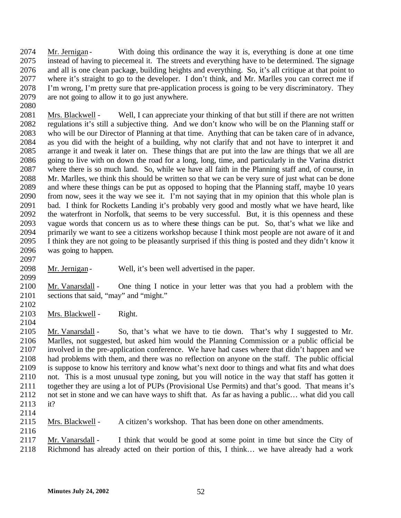Mr. Jernigan - With doing this ordinance the way it is, everything is done at one time instead of having to piecemeal it. The streets and everything have to be determined. The signage and all is one clean package, building heights and everything. So, it's all critique at that point to where it's straight to go to the developer. I don't think, and Mr. Marlles you can correct me if I'm wrong, I'm pretty sure that pre-application process is going to be very discriminatory. They are not going to allow it to go just anywhere.

 Mrs. Blackwell - Well, I can appreciate your thinking of that but still if there are not written regulations it's still a subjective thing. And we don't know who will be on the Planning staff or who will be our Director of Planning at that time. Anything that can be taken care of in advance, as you did with the height of a building, why not clarify that and not have to interpret it and arrange it and tweak it later on. These things that are put into the law are things that we all are going to live with on down the road for a long, long, time, and particularly in the Varina district where there is so much land. So, while we have all faith in the Planning staff and, of course, in Mr. Marlles, we think this should be written so that we can be very sure of just what can be done and where these things can be put as opposed to hoping that the Planning staff, maybe 10 years from now, sees it the way we see it. I'm not saying that in my opinion that this whole plan is bad. I think for Rocketts Landing it's probably very good and mostly what we have heard, like the waterfront in Norfolk, that seems to be very successful. But, it is this openness and these vague words that concern us as to where these things can be put. So, that's what we like and primarily we want to see a citizens workshop because I think most people are not aware of it and I think they are not going to be pleasantly surprised if this thing is posted and they didn't know it was going to happen.

2098 Mr. Jernigan - Well, it's been well advertised in the paper. 

 Mr. Vanarsdall - One thing I notice in your letter was that you had a problem with the sections that said, "may" and "might."

Mrs. Blackwell - Right.

 Mr. Vanarsdall - So, that's what we have to tie down. That's why I suggested to Mr. Marlles, not suggested, but asked him would the Planning Commission or a public official be involved in the pre-application conference. We have had cases where that didn't happen and we had problems with them, and there was no reflection on anyone on the staff. The public official is suppose to know his territory and know what's next door to things and what fits and what does not. This is a most unusual type zoning, but you will notice in the way that staff has gotten it together they are using a lot of PUPs (Provisional Use Permits) and that's good. That means it's not set in stone and we can have ways to shift that. As far as having a public… what did you call it?

Mrs. Blackwell - A citizen's workshop. That has been done on other amendments.

 Mr. Vanarsdall - I think that would be good at some point in time but since the City of Richmond has already acted on their portion of this, I think… we have already had a work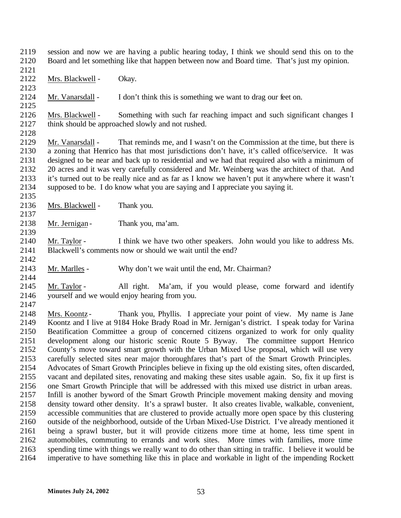session and now we are having a public hearing today, I think we should send this on to the Board and let something like that happen between now and Board time. That's just my opinion.

Mrs. Blackwell - Okay.

2123<br>2124 Mr. Vanarsdall - I don't think this is something we want to drag our feet on. 

 Mrs. Blackwell - Something with such far reaching impact and such significant changes I think should be approached slowly and not rushed.

 Mr. Vanarsdall - That reminds me, and I wasn't on the Commission at the time, but there is a zoning that Henrico has that most jurisdictions don't have, it's called office/service. It was designed to be near and back up to residential and we had that required also with a minimum of 20 acres and it was very carefully considered and Mr. Weinberg was the architect of that. And it's turned out to be really nice and as far as I know we haven't put it anywhere where it wasn't supposed to be. I do know what you are saying and I appreciate you saying it.

- Mrs. Blackwell Thank you.
- 2138 Mr. Jernigan Thank you, ma'am.

 Mr. Taylor - I think we have two other speakers. John would you like to address Ms. Blackwell's comments now or should we wait until the end?

Mr. Marlles - Why don't we wait until the end, Mr. Chairman?

 Mr. Taylor - All right. Ma'am, if you would please, come forward and identify yourself and we would enjoy hearing from you.

 Mrs. Koontz - Thank you, Phyllis. I appreciate your point of view. My name is Jane Koontz and I live at 9184 Hoke Brady Road in Mr. Jernigan's district. I speak today for Varina Beatification Committee a group of concerned citizens organized to work for only quality development along our historic scenic Route 5 Byway. The committee support Henrico County's move toward smart growth with the Urban Mixed Use proposal, which will use very carefully selected sites near major thoroughfares that's part of the Smart Growth Principles. Advocates of Smart Growth Principles believe in fixing up the old existing sites, often discarded, vacant and depilated sites, renovating and making these sites usable again. So, fix it up first is one Smart Growth Principle that will be addressed with this mixed use district in urban areas. Infill is another byword of the Smart Growth Principle movement making density and moving density toward other density. It's a sprawl buster. It also creates livable, walkable, convenient, accessible communities that are clustered to provide actually more open space by this clustering outside of the neighborhood, outside of the Urban Mixed-Use District. I've already mentioned it being a sprawl buster, but it will provide citizens more time at home, less time spent in automobiles, commuting to errands and work sites. More times with families, more time spending time with things we really want to do other than sitting in traffic. I believe it would be imperative to have something like this in place and workable in light of the impending Rockett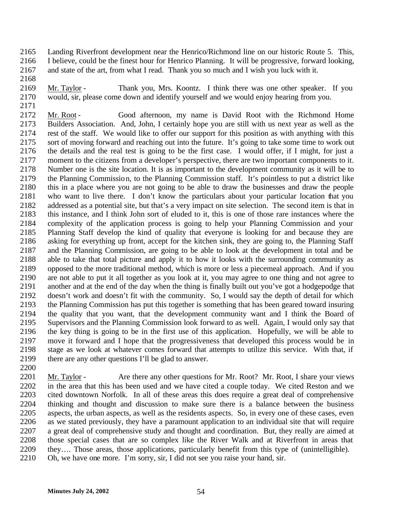Landing Riverfront development near the Henrico/Richmond line on our historic Route 5. This, I believe, could be the finest hour for Henrico Planning. It will be progressive, forward looking, and state of the art, from what I read. Thank you so much and I wish you luck with it.

 Mr. Taylor - Thank you, Mrs. Koontz. I think there was one other speaker. If you would, sir, please come down and identify yourself and we would enjoy hearing from you.

 Mr. Root - Good afternoon, my name is David Root with the Richmond Home Builders Association. And, John, I certainly hope you are still with us next year as well as the rest of the staff. We would like to offer our support for this position as with anything with this sort of moving forward and reaching out into the future. It's going to take some time to work out the details and the real test is going to be the first case. I would offer, if I might, for just a moment to the citizens from a developer's perspective, there are two important components to it. Number one is the site location. It is as important to the development community as it will be to the Planning Commission, to the Planning Commission staff. It's pointless to put a district like this in a place where you are not going to be able to draw the businesses and draw the people who want to live there. I don't know the particulars about your particular location that you addressed as a potential site, but that's a very impact on site selection. The second item is that in this instance, and I think John sort of eluded to it, this is one of those rare instances where the complexity of the application process is going to help your Planning Commission and your Planning Staff develop the kind of quality that everyone is looking for and because they are asking for everything up front, accept for the kitchen sink, they are going to, the Planning Staff and the Planning Commission, are going to be able to look at the development in total and be able to take that total picture and apply it to how it looks with the surrounding community as opposed to the more traditional method, which is more or less a piecemeal approach. And if you are not able to put it all together as you look at it, you may agree to one thing and not agree to another and at the end of the day when the thing is finally built out you've got a hodgepodge that doesn't work and doesn't fit with the community. So, I would say the depth of detail for which the Planning Commission has put this together is something that has been geared toward insuring the quality that you want, that the development community want and I think the Board of Supervisors and the Planning Commission look forward to as well. Again, I would only say that the key thing is going to be in the first use of this application. Hopefully, we will be able to move it forward and I hope that the progressiveness that developed this process would be in stage as we look at whatever comes forward that attempts to utilize this service. With that, if there are any other questions I'll be glad to answer.

 Mr. Taylor - Are there any other questions for Mr. Root? Mr. Root, I share your views in the area that this has been used and we have cited a couple today. We cited Reston and we cited downtown Norfolk. In all of these areas this does require a great deal of comprehensive thinking and thought and discussion to make sure there is a balance between the business aspects, the urban aspects, as well as the residents aspects. So, in every one of these cases, even as we stated previously, they have a paramount application to an individual site that will require a great deal of comprehensive study and thought and coordination. But, they really are aimed at those special cases that are so complex like the River Walk and at Riverfront in areas that they…. Those areas, those applications, particularly benefit from this type of (unintelligible). Oh, we have one more. I'm sorry, sir, I did not see you raise your hand, sir.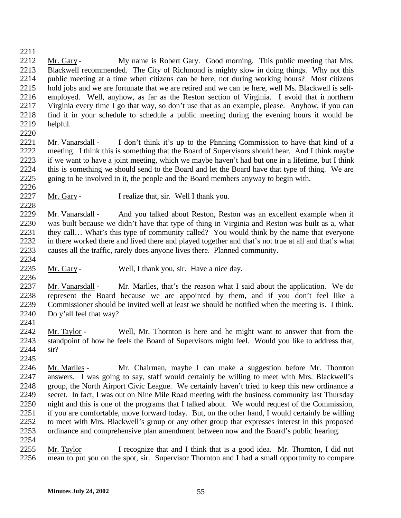- 2212 Mr. Gary My name is Robert Gary. Good morning. This public meeting that Mrs. Blackwell recommended. The City of Richmond is mighty slow in doing things. Why not this public meeting at a time when citizens can be here, not during working hours? Most citizens hold jobs and we are fortunate that we are retired and we can be here, well Ms. Blackwell is self- employed. Well, anyhow, as far as the Reston section of Virginia. I avoid that in northern Virginia every time I go that way, so don't use that as an example, please. Anyhow, if you can find it in your schedule to schedule a public meeting during the evening hours it would be helpful.
- 

- Mr. Vanarsdall I don't think it's up to the Planning Commission to have that kind of a meeting. I think this is something that the Board of Supervisors should hear. And I think maybe if we want to have a joint meeting, which we maybe haven't had but one in a lifetime, but I think this is something we should send to the Board and let the Board have that type of thing. We are going to be involved in it, the people and the Board members anyway to begin with.
- 2227 Mr. Gary I realize that, sir. Well I thank you.
- Mr. Vanarsdall And you talked about Reston, Reston was an excellent example when it was built because we didn't have that type of thing in Virginia and Reston was built as a, what they call… What's this type of community called? You would think by the name that everyone in there worked there and lived there and played together and that's not true at all and that's what causes all the traffic, rarely does anyone lives there. Planned community.
- 2235 Mr. Gary Well, I thank you, sir. Have a nice day.
- 2237 Mr. Vanarsdall Mr. Marlles, that's the reason what I said about the application. We do represent the Board because we are appointed by them, and if you don't feel like a Commissioner should be invited well at least we should be notified when the meeting is. I think. Do y'all feel that way?
- Mr. Taylor Well, Mr. Thornton is here and he might want to answer that from the standpoint of how he feels the Board of Supervisors might feel. Would you like to address that, sir?
- Mr. Marlles Mr. Chairman, maybe I can make a suggestion before Mr. Thornton answers. I was going to say, staff would certainly be willing to meet with Mrs. Blackwell's group, the North Airport Civic League. We certainly haven't tried to keep this new ordinance a secret. In fact, I was out on Nine Mile Road meeting with the business community last Thursday night and this is one of the programs that I talked about. We would request of the Commission, if you are comfortable, move forward today. But, on the other hand, I would certainly be willing to meet with Mrs. Blackwell's group or any other group that expresses interest in this proposed ordinance and comprehensive plan amendment between now and the Board's public hearing.
- Mr. Taylor I recognize that and I think that is a good idea. Mr. Thornton, I did not mean to put you on the spot, sir. Supervisor Thornton and I had a small opportunity to compare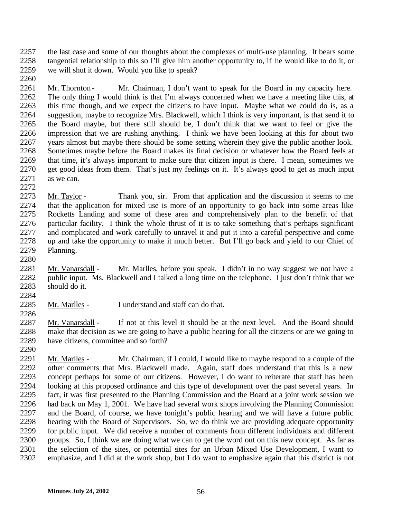the last case and some of our thoughts about the complexes of multi-use planning. It bears some tangential relationship to this so I'll give him another opportunity to, if he would like to do it, or we will shut it down. Would you like to speak?

- 2261 Mr. Thornton Mr. Chairman, I don't want to speak for the Board in my capacity here. The only thing I would think is that I'm always concerned when we have a meeting like this, at this time though, and we expect the citizens to have input. Maybe what we could do is, as a suggestion, maybe to recognize Mrs. Blackwell, which I think is very important, is that send it to the Board maybe, but there still should be, I don't think that we want to feel or give the impression that we are rushing anything. I think we have been looking at this for about two years almost but maybe there should be some setting wherein they give the public another look. Sometimes maybe before the Board makes its final decision or whatever how the Board feels at that time, it's always important to make sure that citizen input is there. I mean, sometimes we get good ideas from them. That's just my feelings on it. It's always good to get as much input 2271 as we can.
- Mr. Taylor Thank you, sir. From that application and the discussion it seems to me that the application for mixed use is more of an opportunity to go back into some areas like Rocketts Landing and some of these area and comprehensively plan to the benefit of that particular facility. I think the whole thrust of it is to take something that's perhaps significant and complicated and work carefully to unravel it and put it into a careful perspective and come up and take the opportunity to make it much better. But I'll go back and yield to our Chief of Planning.
- Mr. Vanarsdall Mr. Marlles, before you speak. I didn't in no way suggest we not have a public input. Ms. Blackwell and I talked a long time on the telephone. I just don't think that we should do it.
- Mr. Marlles I understand and staff can do that.
- Mr. Vanarsdall - If not at this level it should be at the next level. And the Board should make that decision as we are going to have a public hearing for all the citizens or are we going to have citizens, committee and so forth?
- Mr. Marlles Mr. Chairman, if I could, I would like to maybe respond to a couple of the other comments that Mrs. Blackwell made. Again, staff does understand that this is a new concept perhaps for some of our citizens. However, I do want to reiterate that staff has been looking at this proposed ordinance and this type of development over the past several years. In fact, it was first presented to the Planning Commission and the Board at a joint work session we had back on May 1, 2001. We have had several work shops involving the Planning Commission and the Board, of course, we have tonight's public hearing and we will have a future public hearing with the Board of Supervisors. So, we do think we are providing adequate opportunity for public input. We did receive a number of comments from different individuals and different groups. So, I think we are doing what we can to get the word out on this new concept. As far as the selection of the sites, or potential sites for an Urban Mixed Use Development, I want to emphasize, and I did at the work shop, but I do want to emphasize again that this district is not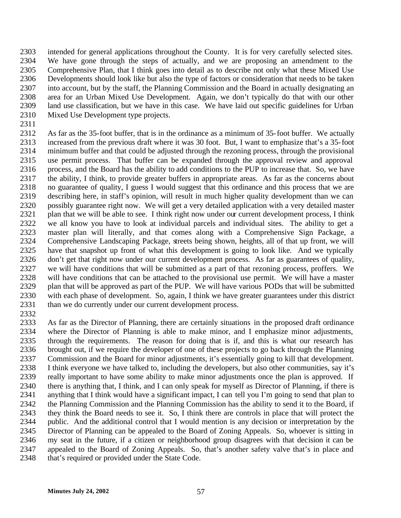intended for general applications throughout the County. It is for very carefully selected sites. We have gone through the steps of actually, and we are proposing an amendment to the Comprehensive Plan, that I think goes into detail as to describe not only what these Mixed Use Developments should look like but also the type of factors or consideration that needs to be taken into account, but by the staff, the Planning Commission and the Board in actually designating an area for an Urban Mixed Use Development. Again, we don't typically do that with our other land use classification, but we have in this case. We have laid out specific guidelines for Urban Mixed Use Development type projects.

 As far as the 35-foot buffer, that is in the ordinance as a minimum of 35-foot buffer. We actually increased from the previous draft where it was 30 foot. But, I want to emphasize that's a 35-foot minimum buffer and that could be adjusted through the rezoning process, through the provisional use permit process. That buffer can be expanded through the approval review and approval process, and the Board has the ability to add conditions to the PUP to increase that. So, we have the ability, I think, to provide greater buffers in appropriate areas. As far as the concerns about no guarantee of quality, I guess I would suggest that this ordinance and this process that we are describing here, in staff's opinion, will result in much higher quality development than we can possibly guarantee right now. We will get a very detailed application with a very detailed master 2321 plan that we will be able to see. I think right now under our current development process, I think we all know you have to look at individual parcels and individual sites. The ability to get a master plan will literally, and that comes along with a Comprehensive Sign Package, a Comprehensive Landscaping Package, streets being shown, heights, all of that up front, we will have that snapshot up front of what this development is going to look like. And we typically don't get that right now under our current development process. As far as guarantees of quality, we will have conditions that will be submitted as a part of that rezoning process, proffers. We will have conditions that can be attached to the provisional use permit. We will have a master plan that will be approved as part of the PUP. We will have various PODs that will be submitted with each phase of development. So, again, I think we have greater guarantees under this district than we do currently under our current development process.

2333 As far as the Director of Planning, there are certainly situations in the proposed draft ordinance<br>2334 where the Director of Planning is able to make minor, and I emphasize minor adjustments, where the Director of Planning is able to make minor, and I emphasize minor adjustments, through the requirements. The reason for doing that is if, and this is what our research has brought out, if we require the developer of one of these projects to go back through the Planning Commission and the Board for minor adjustments, it's essentially going to kill that development. I think everyone we have talked to, including the developers, but also other communities, say it's really important to have some ability to make minor adjustments once the plan is approved. If there is anything that, I think, and I can only speak for myself as Director of Planning, if there is anything that I think would have a significant impact, I can tell you I'm going to send that plan to the Planning Commission and the Planning Commission has the ability to send it to the Board, if they think the Board needs to see it. So, I think there are controls in place that will protect the public. And the additional control that I would mention is any decision or interpretation by the Director of Planning can be appealed to the Board of Zoning Appeals. So, whoever is sitting in my seat in the future, if a citizen or neighborhood group disagrees with that decision it can be appealed to the Board of Zoning Appeals. So, that's another safety valve that's in place and 2348 that's required or provided under the State Code.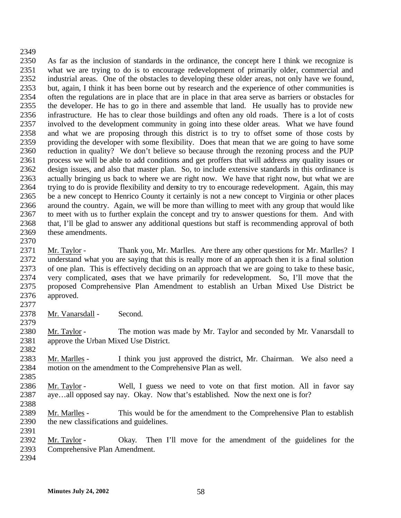As far as the inclusion of standards in the ordinance, the concept here I think we recognize is what we are trying to do is to encourage redevelopment of primarily older, commercial and industrial areas. One of the obstacles to developing these older areas, not only have we found, but, again, I think it has been borne out by research and the experience of other communities is often the regulations are in place that are in place in that area serve as barriers or obstacles for the developer. He has to go in there and assemble that land. He usually has to provide new infrastructure. He has to clear those buildings and often any old roads. There is a lot of costs involved to the development community in going into these older areas. What we have found and what we are proposing through this district is to try to offset some of those costs by providing the developer with some flexibility. Does that mean that we are going to have some reduction in quality? We don't believe so because through the rezoning process and the PUP process we will be able to add conditions and get proffers that will address any quality issues or design issues, and also that master plan. So, to include extensive standards in this ordinance is actually bringing us back to where we are right now. We have that right now, but what we are trying to do is provide flexibility and density to try to encourage redevelopment. Again, this may be a new concept to Henrico County it certainly is not a new concept to Virginia or other places around the country. Again, we will be more than willing to meet with any group that would like to meet with us to further explain the concept and try to answer questions for them. And with that, I'll be glad to answer any additional questions but staff is recommending approval of both these amendments.

 Mr. Taylor - Thank you, Mr. Marlles. Are there any other questions for Mr. Marlles? I understand what you are saying that this is really more of an approach then it is a final solution of one plan. This is effectively deciding on an approach that we are going to take to these basic, very complicated, cases that we have primarily for redevelopment. So, I'll move that the proposed Comprehensive Plan Amendment to establish an Urban Mixed Use District be approved.

2378 Mr. Vanarsdall - Second.

 Mr. Taylor - The motion was made by Mr. Taylor and seconded by Mr. Vanarsdall to approve the Urban Mixed Use District.

- Mr. Marlles I think you just approved the district, Mr. Chairman. We also need a motion on the amendment to the Comprehensive Plan as well.
- Mr. Taylor Well, I guess we need to vote on that first motion. All in favor say aye…all opposed say nay. Okay. Now that's established. Now the next one is for?
- Mr. Marlles This would be for the amendment to the Comprehensive Plan to establish the new classifications and guidelines.
- Mr. Taylor Okay. Then I'll move for the amendment of the guidelines for the Comprehensive Plan Amendment.
-